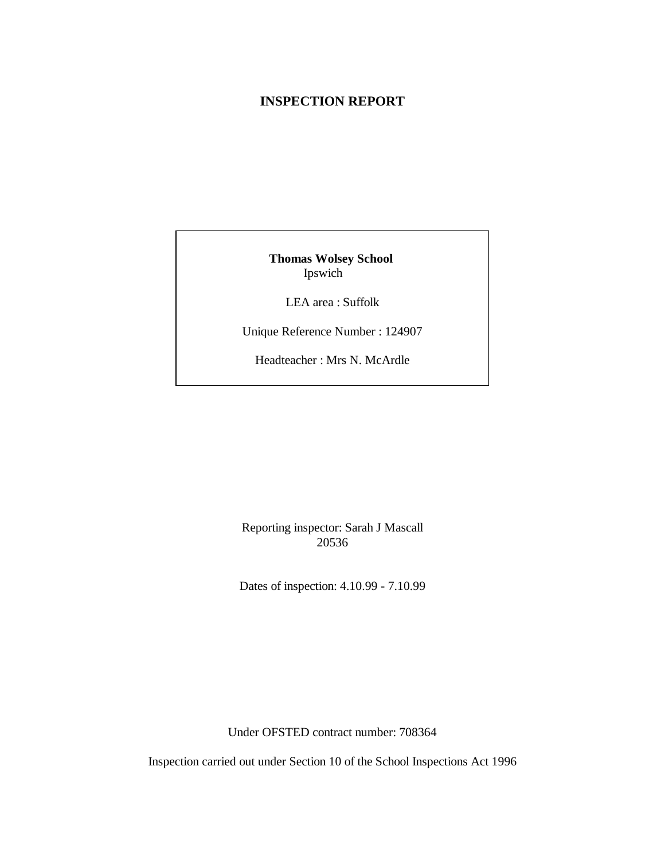#### **INSPECTION REPORT**

**Thomas Wolsey School**  Ipswich

LEA area : Suffolk

Unique Reference Number : 124907

Headteacher : Mrs N. McArdle

Reporting inspector: Sarah J Mascall 20536

Dates of inspection: 4.10.99 - 7.10.99

Under OFSTED contract number: 708364

Inspection carried out under Section 10 of the School Inspections Act 1996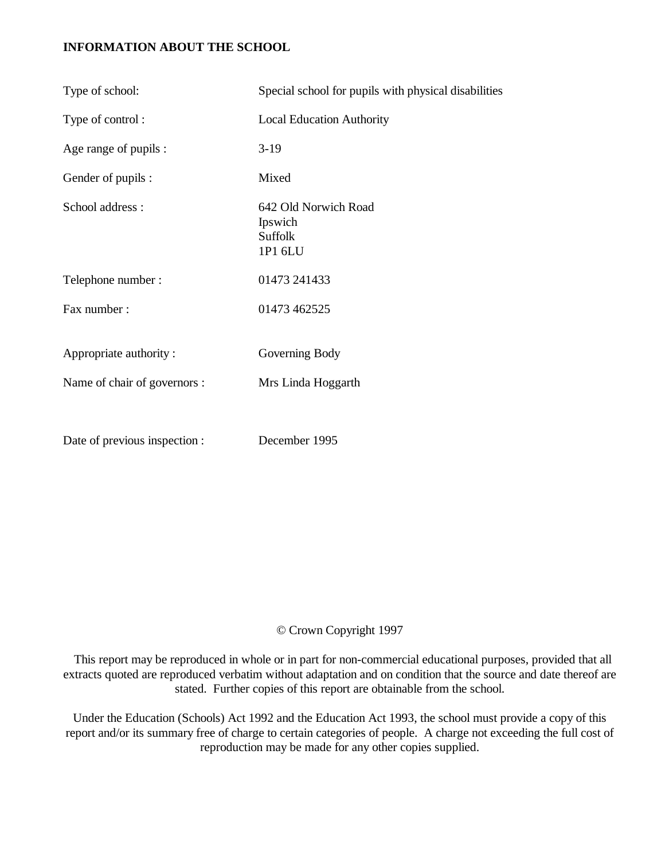## **INFORMATION ABOUT THE SCHOOL**

| Type of school:               | Special school for pupils with physical disabilities         |
|-------------------------------|--------------------------------------------------------------|
| Type of control:              | <b>Local Education Authority</b>                             |
| Age range of pupils :         | $3-19$                                                       |
| Gender of pupils :            | Mixed                                                        |
| School address:               | 642 Old Norwich Road<br>Ipswich<br><b>Suffolk</b><br>1P1 6LU |
| Telephone number:             | 01473 241433                                                 |
| Fax number:                   | 01473 462525                                                 |
| Appropriate authority:        | Governing Body                                               |
| Name of chair of governors :  | Mrs Linda Hoggarth                                           |
|                               |                                                              |
| Date of previous inspection : | December 1995                                                |

# © Crown Copyright 1997

 This report may be reproduced in whole or in part for non-commercial educational purposes, provided that all extracts quoted are reproduced verbatim without adaptation and on condition that the source and date thereof are stated. Further copies of this report are obtainable from the school.

Under the Education (Schools) Act 1992 and the Education Act 1993, the school must provide a copy of this report and/or its summary free of charge to certain categories of people. A charge not exceeding the full cost of reproduction may be made for any other copies supplied.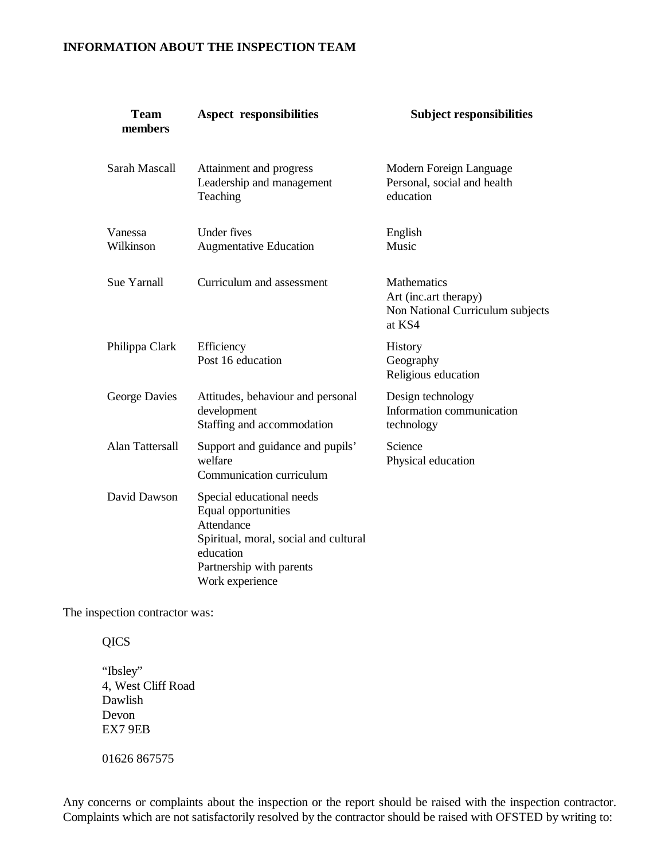## **INFORMATION ABOUT THE INSPECTION TEAM**

| <b>Team</b><br>members | <b>Aspect responsibilities</b>                                                                                                                                      | <b>Subject responsibilities</b>                                                    |
|------------------------|---------------------------------------------------------------------------------------------------------------------------------------------------------------------|------------------------------------------------------------------------------------|
| <b>Sarah Mascall</b>   | Attainment and progress<br>Leadership and management<br>Teaching                                                                                                    | Modern Foreign Language<br>Personal, social and health<br>education                |
| Vanessa<br>Wilkinson   | Under fives<br><b>Augmentative Education</b>                                                                                                                        | English<br>Music                                                                   |
| Sue Yarnall            | Curriculum and assessment                                                                                                                                           | Mathematics<br>Art (inc.art therapy)<br>Non National Curriculum subjects<br>at KS4 |
| Philippa Clark         | Efficiency<br>Post 16 education                                                                                                                                     | History<br>Geography<br>Religious education                                        |
| George Davies          | Attitudes, behaviour and personal<br>development<br>Staffing and accommodation                                                                                      | Design technology<br>Information communication<br>technology                       |
| Alan Tattersall        | Support and guidance and pupils'<br>welfare<br>Communication curriculum                                                                                             | Science<br>Physical education                                                      |
| David Dawson           | Special educational needs<br>Equal opportunities<br>Attendance<br>Spiritual, moral, social and cultural<br>education<br>Partnership with parents<br>Work experience |                                                                                    |

The inspection contractor was:

**QICS** 

"Ibsley" 4, West Cliff Road Dawlish Devon EX7 9EB

01626 867575

Any concerns or complaints about the inspection or the report should be raised with the inspection contractor. Complaints which are not satisfactorily resolved by the contractor should be raised with OFSTED by writing to: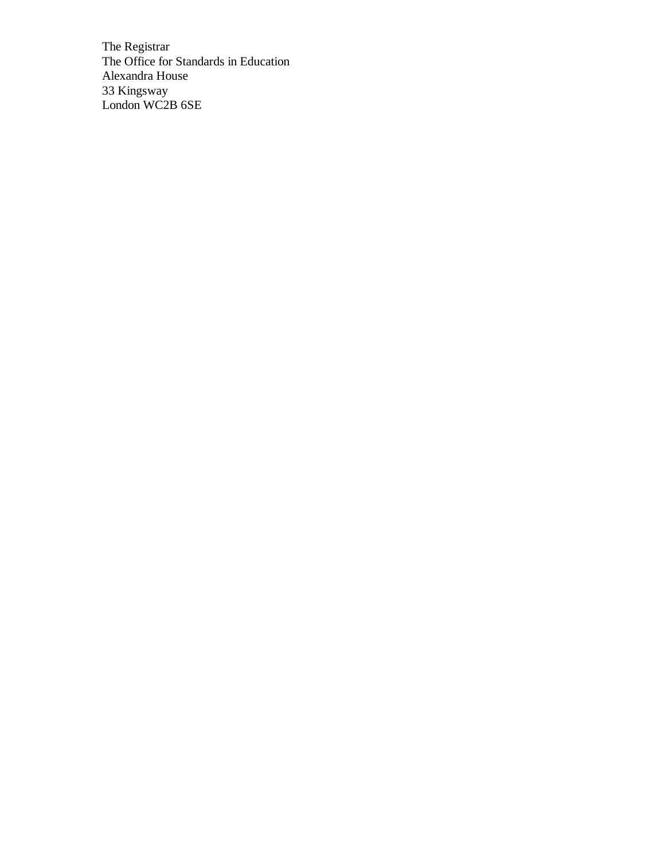The Registrar The Office for Standards in Education Alexandra House 33 Kingsway London WC2B 6SE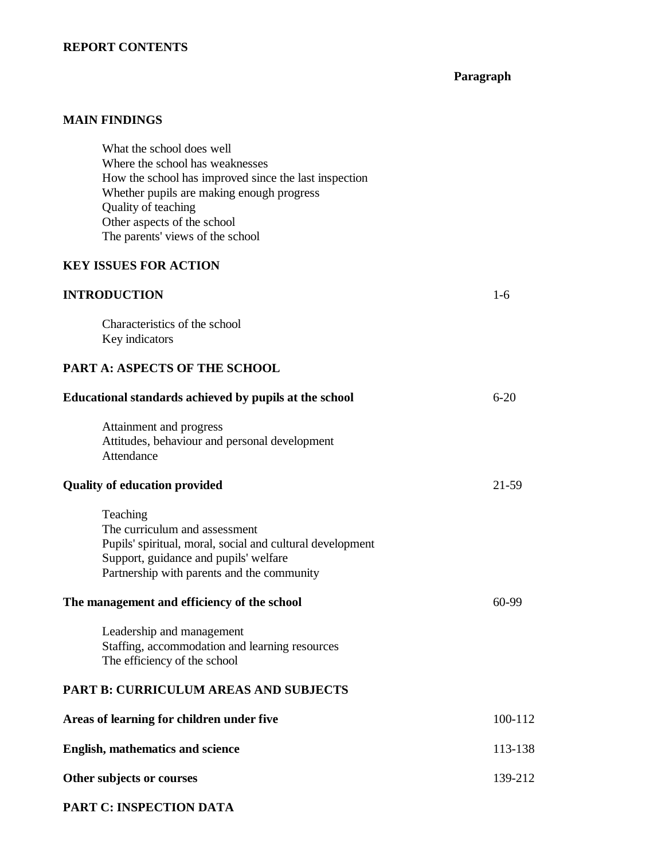#### **REPORT CONTENTS**

# **Paragraph**

## **MAIN FINDINGS**

What the school does well Where the school has weaknesses How the school has improved since the last inspection Whether pupils are making enough progress Quality of teaching Other aspects of the school The parents' views of the school

# **KEY ISSUES FOR ACTION**

## **INTRODUCTION** 1-6

Characteristics of the school Key indicators

#### **PART A: ASPECTS OF THE SCHOOL**

| Educational standards achieved by pupils at the school                                                                                                                                        | $6 - 20$ |
|-----------------------------------------------------------------------------------------------------------------------------------------------------------------------------------------------|----------|
| Attainment and progress<br>Attitudes, behaviour and personal development<br>Attendance                                                                                                        |          |
| <b>Quality of education provided</b>                                                                                                                                                          | 21-59    |
| Teaching<br>The curriculum and assessment<br>Pupils' spiritual, moral, social and cultural development<br>Support, guidance and pupils' welfare<br>Partnership with parents and the community |          |
| The management and efficiency of the school                                                                                                                                                   | 60-99    |
| Leadership and management<br>Staffing, accommodation and learning resources<br>The efficiency of the school                                                                                   |          |
| <b>PART B: CURRICULUM AREAS AND SUBJECTS</b>                                                                                                                                                  |          |
| Areas of learning for children under five                                                                                                                                                     | 100-112  |
| <b>English, mathematics and science</b>                                                                                                                                                       | 113-138  |
| Other subjects or courses                                                                                                                                                                     | 139-212  |
|                                                                                                                                                                                               |          |

#### **PART C: INSPECTION DATA**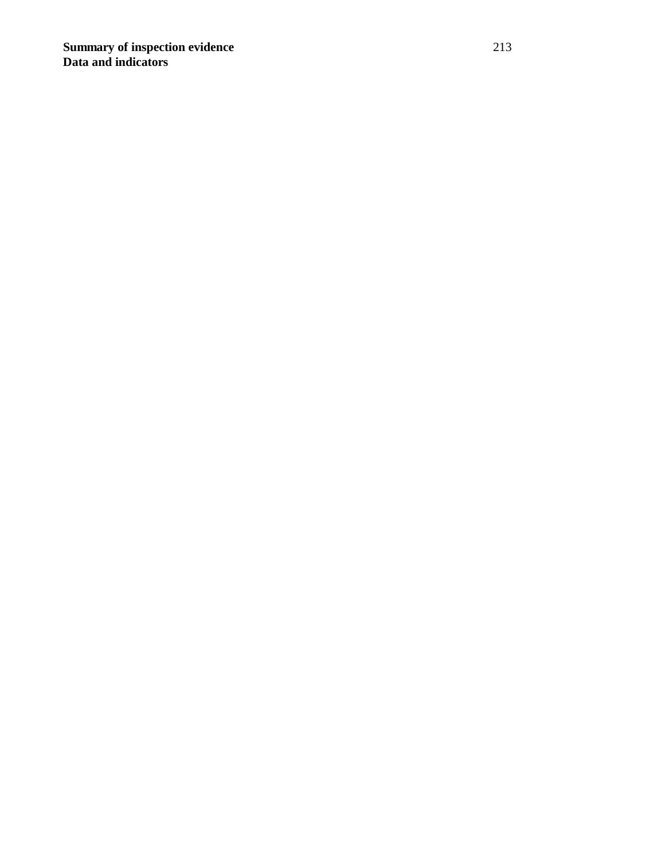**Summary of inspection evidence** 213 **Data and indicators**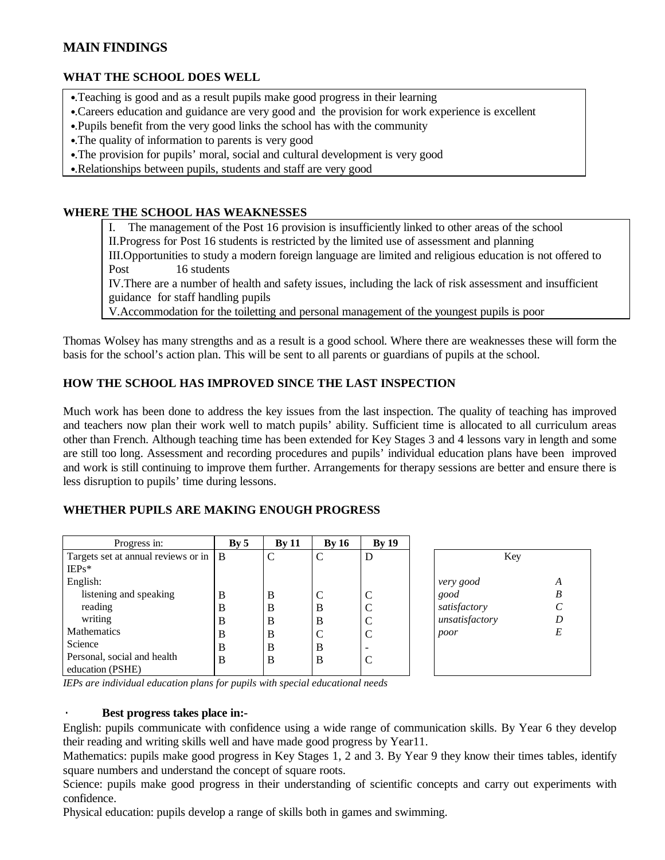# **MAIN FINDINGS**

## **WHAT THE SCHOOL DOES WELL**

- •.Teaching is good and as a result pupils make good progress in their learning
- •.Careers education and guidance are very good and the provision for work experience is excellent
- •.Pupils benefit from the very good links the school has with the community
- •.The quality of information to parents is very good
- •.The provision for pupils' moral, social and cultural development is very good
- •.Relationships between pupils, students and staff are very good

#### **WHERE THE SCHOOL HAS WEAKNESSES**

I. The management of the Post 16 provision is insufficiently linked to other areas of the school II.Progress for Post 16 students is restricted by the limited use of assessment and planning III.Opportunities to study a modern foreign language are limited and religious education is not offered to Post 16 students

IV.There are a number of health and safety issues, including the lack of risk assessment and insufficient guidance for staff handling pupils

V.Accommodation for the toiletting and personal management of the youngest pupils is poor

Thomas Wolsey has many strengths and as a result is a good school. Where there are weaknesses these will form the basis for the school's action plan. This will be sent to all parents or guardians of pupils at the school.

## **HOW THE SCHOOL HAS IMPROVED SINCE THE LAST INSPECTION**

Much work has been done to address the key issues from the last inspection. The quality of teaching has improved and teachers now plan their work well to match pupils' ability. Sufficient time is allocated to all curriculum areas other than French. Although teaching time has been extended for Key Stages 3 and 4 lessons vary in length and some are still too long. Assessment and recording procedures and pupils' individual education plans have been improved and work is still continuing to improve them further. Arrangements for therapy sessions are better and ensure there is less disruption to pupils' time during lessons.

#### **WHETHER PUPILS ARE MAKING ENOUGH PROGRESS**

| Progress in:                        | Bv <sub>5</sub> | Bv11 | <b>By 16</b> | By 19 |                |
|-------------------------------------|-----------------|------|--------------|-------|----------------|
| Targets set at annual reviews or in | l B             | C    | C            | D     | Key            |
| $IEPs*$                             |                 |      |              |       |                |
| English:                            |                 |      |              |       | very good      |
| listening and speaking              | B               | B    |              |       | good           |
| reading                             | B               | B    | В            |       | satisfactory   |
| writing                             | B               | B    | В            |       | unsatisfactory |
| <b>Mathematics</b>                  | B               | В    |              | C     | poor           |
| Science                             | B               | B    | В            |       |                |
| Personal, social and health         | B               | B    | B            |       |                |
| education (PSHE)                    |                 |      |              |       |                |

| Key            |   |
|----------------|---|
| very good      | A |
| good           | B |
| satisfactory   | C |
| unsatisfactory | D |
| poor           | E |

*IEPs are individual education plans for pupils with special educational needs*

#### · **Best progress takes place in:-**

English: pupils communicate with confidence using a wide range of communication skills. By Year 6 they develop their reading and writing skills well and have made good progress by Year11.

Mathematics: pupils make good progress in Key Stages 1, 2 and 3. By Year 9 they know their times tables, identify square numbers and understand the concept of square roots.

Science: pupils make good progress in their understanding of scientific concepts and carry out experiments with confidence.

Physical education: pupils develop a range of skills both in games and swimming.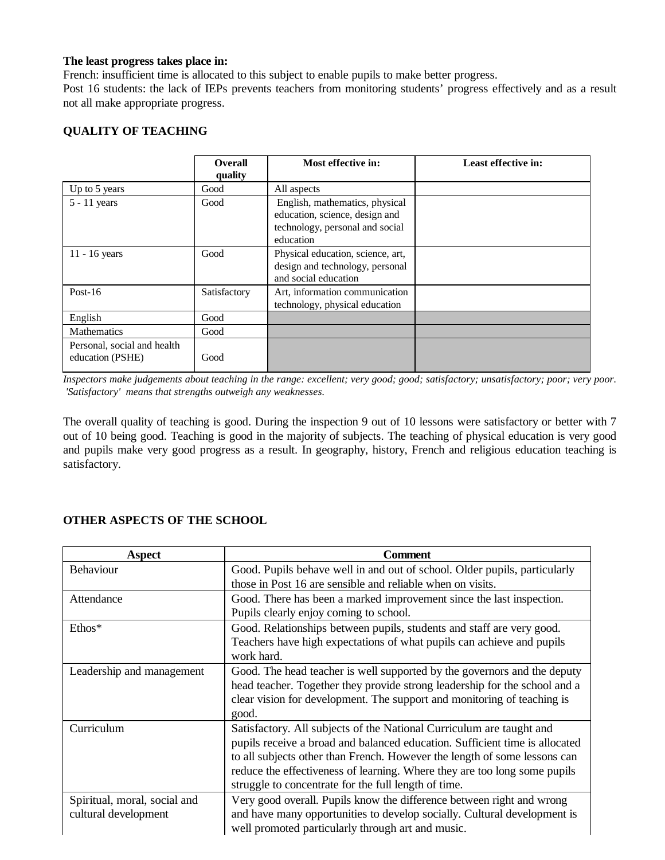#### **The least progress takes place in:**

French: insufficient time is allocated to this subject to enable pupils to make better progress.

Post 16 students: the lack of IEPs prevents teachers from monitoring students' progress effectively and as a result not all make appropriate progress.

#### **QUALITY OF TEACHING**

|                                                 | <b>Overall</b><br>quality | Most effective in:                                                                                               | Least effective in: |
|-------------------------------------------------|---------------------------|------------------------------------------------------------------------------------------------------------------|---------------------|
| Up to 5 years                                   | Good                      | All aspects                                                                                                      |                     |
| $5 - 11$ years                                  | Good                      | English, mathematics, physical<br>education, science, design and<br>technology, personal and social<br>education |                     |
| $11 - 16$ years                                 | Good                      | Physical education, science, art,<br>design and technology, personal<br>and social education                     |                     |
| Post- $16$                                      | Satisfactory              | Art, information communication<br>technology, physical education                                                 |                     |
| English                                         | Good                      |                                                                                                                  |                     |
| Mathematics                                     | Good                      |                                                                                                                  |                     |
| Personal, social and health<br>education (PSHE) | Good                      |                                                                                                                  |                     |

*Inspectors make judgements about teaching in the range: excellent; very good; good; satisfactory; unsatisfactory; poor; very poor. 'Satisfactory' means that strengths outweigh any weaknesses.*

The overall quality of teaching is good. During the inspection 9 out of 10 lessons were satisfactory or better with 7 out of 10 being good. Teaching is good in the majority of subjects. The teaching of physical education is very good and pupils make very good progress as a result. In geography, history, French and religious education teaching is satisfactory.

#### **OTHER ASPECTS OF THE SCHOOL**

| <b>Aspect</b>                | Comment                                                                     |
|------------------------------|-----------------------------------------------------------------------------|
| <b>Behaviour</b>             | Good. Pupils behave well in and out of school. Older pupils, particularly   |
|                              | those in Post 16 are sensible and reliable when on visits.                  |
| Attendance                   | Good. There has been a marked improvement since the last inspection.        |
|                              | Pupils clearly enjoy coming to school.                                      |
| $Ethos*$                     | Good. Relationships between pupils, students and staff are very good.       |
|                              | Teachers have high expectations of what pupils can achieve and pupils       |
|                              | work hard.                                                                  |
| Leadership and management    | Good. The head teacher is well supported by the governors and the deputy    |
|                              | head teacher. Together they provide strong leadership for the school and a  |
|                              | clear vision for development. The support and monitoring of teaching is     |
|                              | good.                                                                       |
| Curriculum                   | Satisfactory. All subjects of the National Curriculum are taught and        |
|                              | pupils receive a broad and balanced education. Sufficient time is allocated |
|                              | to all subjects other than French. However the length of some lessons can   |
|                              | reduce the effectiveness of learning. Where they are too long some pupils   |
|                              | struggle to concentrate for the full length of time.                        |
| Spiritual, moral, social and | Very good overall. Pupils know the difference between right and wrong       |
| cultural development         | and have many opportunities to develop socially. Cultural development is    |
|                              | well promoted particularly through art and music.                           |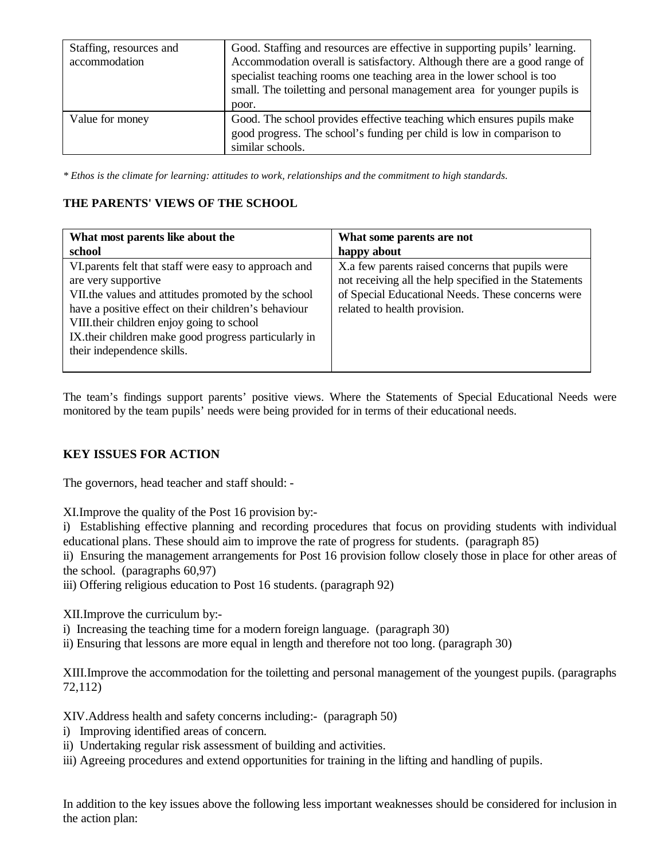| Staffing, resources and<br>accommodation | Good. Staffing and resources are effective in supporting pupils' learning.<br>Accommodation overall is satisfactory. Although there are a good range of<br>specialist teaching rooms one teaching area in the lower school is too<br>small. The toiletting and personal management area for younger pupils is<br>poor. |
|------------------------------------------|------------------------------------------------------------------------------------------------------------------------------------------------------------------------------------------------------------------------------------------------------------------------------------------------------------------------|
| Value for money                          | Good. The school provides effective teaching which ensures pupils make<br>good progress. The school's funding per child is low in comparison to<br>similar schools.                                                                                                                                                    |

*\* Ethos is the climate for learning: attitudes to work, relationships and the commitment to high standards.*

## **THE PARENTS' VIEWS OF THE SCHOOL**

| What most parents like about the                                                                                                                                                                                                                                                                                              | What some parents are not                                                                                                                                                                       |
|-------------------------------------------------------------------------------------------------------------------------------------------------------------------------------------------------------------------------------------------------------------------------------------------------------------------------------|-------------------------------------------------------------------------------------------------------------------------------------------------------------------------------------------------|
| school                                                                                                                                                                                                                                                                                                                        | happy about                                                                                                                                                                                     |
| VI parents felt that staff were easy to approach and<br>are very supportive<br>VII.the values and attitudes promoted by the school<br>have a positive effect on their children's behaviour<br>VIII.their children enjoy going to school<br>IX.their children make good progress particularly in<br>their independence skills. | X.a few parents raised concerns that pupils were<br>not receiving all the help specified in the Statements<br>of Special Educational Needs. These concerns were<br>related to health provision. |

The team's findings support parents' positive views. Where the Statements of Special Educational Needs were monitored by the team pupils' needs were being provided for in terms of their educational needs.

## **KEY ISSUES FOR ACTION**

The governors, head teacher and staff should: -

XI.Improve the quality of the Post 16 provision by:-

i) Establishing effective planning and recording procedures that focus on providing students with individual educational plans. These should aim to improve the rate of progress for students. (paragraph 85)

ii) Ensuring the management arrangements for Post 16 provision follow closely those in place for other areas of the school. (paragraphs 60,97)

iii) Offering religious education to Post 16 students. (paragraph 92)

XII.Improve the curriculum by:-

i) Increasing the teaching time for a modern foreign language. (paragraph 30)

ii) Ensuring that lessons are more equal in length and therefore not too long. (paragraph 30)

XIII.Improve the accommodation for the toiletting and personal management of the youngest pupils. (paragraphs 72,112)

XIV.Address health and safety concerns including:- (paragraph 50)

- i) Improving identified areas of concern.
- ii) Undertaking regular risk assessment of building and activities.
- iii) Agreeing procedures and extend opportunities for training in the lifting and handling of pupils.

In addition to the key issues above the following less important weaknesses should be considered for inclusion in the action plan: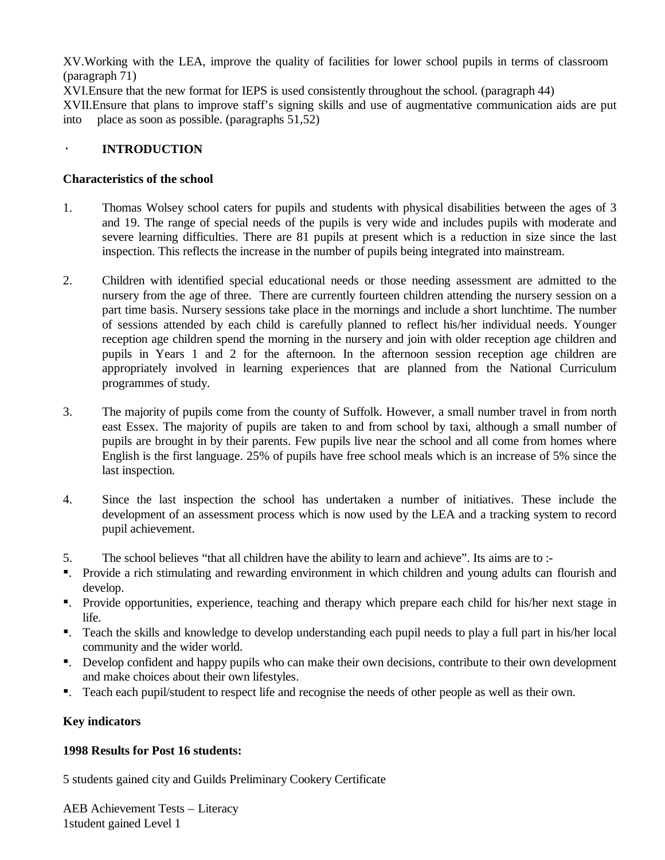XV.Working with the LEA, improve the quality of facilities for lower school pupils in terms of classroom (paragraph 71)

XVI.Ensure that the new format for IEPS is used consistently throughout the school. (paragraph 44)

XVII.Ensure that plans to improve staff's signing skills and use of augmentative communication aids are put into place as soon as possible. (paragraphs 51,52)

## · **INTRODUCTION**

## **Characteristics of the school**

- 1. Thomas Wolsey school caters for pupils and students with physical disabilities between the ages of 3 and 19. The range of special needs of the pupils is very wide and includes pupils with moderate and severe learning difficulties. There are 81 pupils at present which is a reduction in size since the last inspection. This reflects the increase in the number of pupils being integrated into mainstream.
- 2. Children with identified special educational needs or those needing assessment are admitted to the nursery from the age of three. There are currently fourteen children attending the nursery session on a part time basis. Nursery sessions take place in the mornings and include a short lunchtime. The number of sessions attended by each child is carefully planned to reflect his/her individual needs. Younger reception age children spend the morning in the nursery and join with older reception age children and pupils in Years 1 and 2 for the afternoon. In the afternoon session reception age children are appropriately involved in learning experiences that are planned from the National Curriculum programmes of study.
- 3. The majority of pupils come from the county of Suffolk. However, a small number travel in from north east Essex. The majority of pupils are taken to and from school by taxi, although a small number of pupils are brought in by their parents. Few pupils live near the school and all come from homes where English is the first language. 25% of pupils have free school meals which is an increase of 5% since the last inspection.
- 4. Since the last inspection the school has undertaken a number of initiatives. These include the development of an assessment process which is now used by the LEA and a tracking system to record pupil achievement.
- 5. The school believes "that all children have the ability to learn and achieve". Its aims are to :-
- ß. Provide a rich stimulating and rewarding environment in which children and young adults can flourish and develop.
- ß. Provide opportunities, experience, teaching and therapy which prepare each child for his/her next stage in life.
- ß. Teach the skills and knowledge to develop understanding each pupil needs to play a full part in his/her local community and the wider world.
- ß. Develop confident and happy pupils who can make their own decisions, contribute to their own development and make choices about their own lifestyles.
- ß. Teach each pupil/student to respect life and recognise the needs of other people as well as their own.

# **Key indicators**

## **1998 Results for Post 16 students:**

5 students gained city and Guilds Preliminary Cookery Certificate

AEB Achievement Tests – Literacy 1student gained Level 1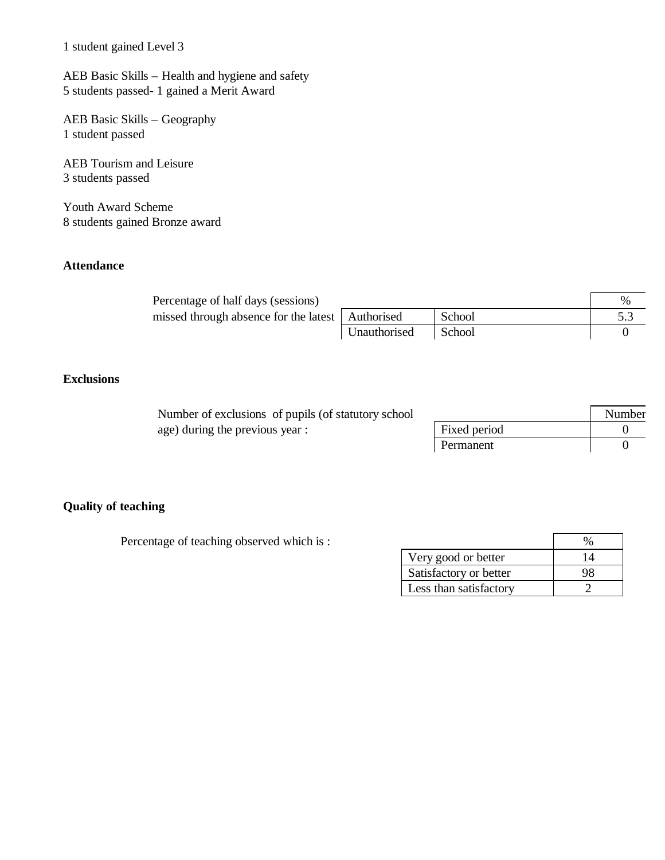1 student gained Level 3

AEB Basic Skills – Health and hygiene and safety 5 students passed- 1 gained a Merit Award

AEB Basic Skills – Geography 1 student passed

AEB Tourism and Leisure 3 students passed

Youth Award Scheme 8 students gained Bronze award

## **Attendance**

| Percentage of half days (sessions)                 |              |        | % |
|----------------------------------------------------|--------------|--------|---|
| missed through absence for the latest   Authorised |              | School |   |
|                                                    | Unauthorised | School |   |

# **Exclusions**

| Number of exclusions of pupils (of statutory school) |              | Number |
|------------------------------------------------------|--------------|--------|
| age) during the previous year :                      | Fixed period |        |
|                                                      | Permanent    |        |

## **Quality of teaching**

Percentage of teaching observed which is :

| Very good or better    | 14 |
|------------------------|----|
| Satisfactory or better | ч× |
| Less than satisfactory |    |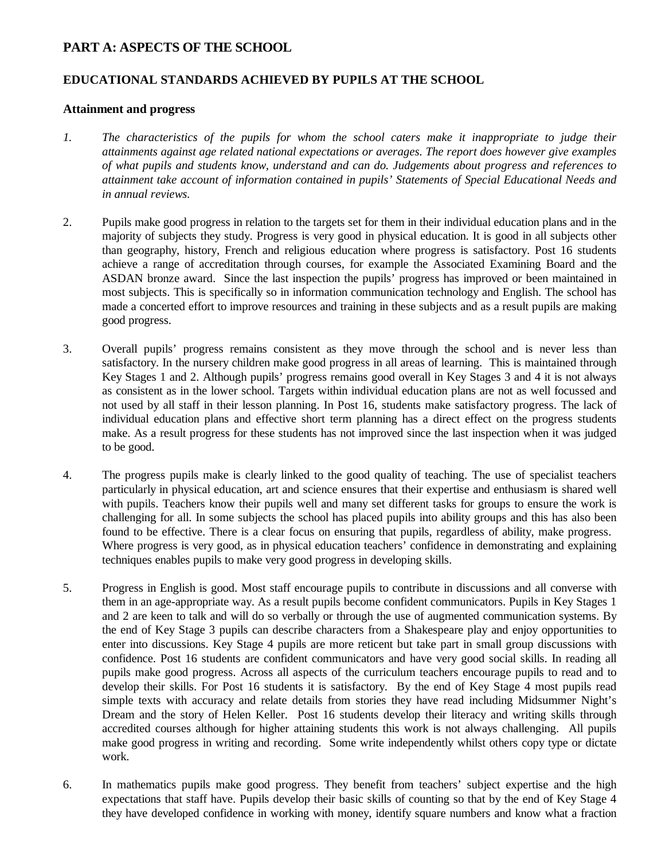# **PART A: ASPECTS OF THE SCHOOL**

## **EDUCATIONAL STANDARDS ACHIEVED BY PUPILS AT THE SCHOOL**

#### **Attainment and progress**

- *1. The characteristics of the pupils for whom the school caters make it inappropriate to judge their attainments against age related national expectations or averages. The report does however give examples of what pupils and students know, understand and can do. Judgements about progress and references to attainment take account of information contained in pupils' Statements of Special Educational Needs and in annual reviews.*
- 2. Pupils make good progress in relation to the targets set for them in their individual education plans and in the majority of subjects they study. Progress is very good in physical education. It is good in all subjects other than geography, history, French and religious education where progress is satisfactory. Post 16 students achieve a range of accreditation through courses, for example the Associated Examining Board and the ASDAN bronze award. Since the last inspection the pupils' progress has improved or been maintained in most subjects. This is specifically so in information communication technology and English. The school has made a concerted effort to improve resources and training in these subjects and as a result pupils are making good progress.
- 3. Overall pupils' progress remains consistent as they move through the school and is never less than satisfactory. In the nursery children make good progress in all areas of learning. This is maintained through Key Stages 1 and 2. Although pupils' progress remains good overall in Key Stages 3 and 4 it is not always as consistent as in the lower school. Targets within individual education plans are not as well focussed and not used by all staff in their lesson planning. In Post 16, students make satisfactory progress. The lack of individual education plans and effective short term planning has a direct effect on the progress students make. As a result progress for these students has not improved since the last inspection when it was judged to be good.
- 4. The progress pupils make is clearly linked to the good quality of teaching. The use of specialist teachers particularly in physical education, art and science ensures that their expertise and enthusiasm is shared well with pupils. Teachers know their pupils well and many set different tasks for groups to ensure the work is challenging for all. In some subjects the school has placed pupils into ability groups and this has also been found to be effective. There is a clear focus on ensuring that pupils, regardless of ability, make progress. Where progress is very good, as in physical education teachers' confidence in demonstrating and explaining techniques enables pupils to make very good progress in developing skills.
- 5. Progress in English is good. Most staff encourage pupils to contribute in discussions and all converse with them in an age-appropriate way. As a result pupils become confident communicators. Pupils in Key Stages 1 and 2 are keen to talk and will do so verbally or through the use of augmented communication systems. By the end of Key Stage 3 pupils can describe characters from a Shakespeare play and enjoy opportunities to enter into discussions. Key Stage 4 pupils are more reticent but take part in small group discussions with confidence. Post 16 students are confident communicators and have very good social skills. In reading all pupils make good progress. Across all aspects of the curriculum teachers encourage pupils to read and to develop their skills. For Post 16 students it is satisfactory. By the end of Key Stage 4 most pupils read simple texts with accuracy and relate details from stories they have read including Midsummer Night's Dream and the story of Helen Keller. Post 16 students develop their literacy and writing skills through accredited courses although for higher attaining students this work is not always challenging. All pupils make good progress in writing and recording. Some write independently whilst others copy type or dictate work.
- 6. In mathematics pupils make good progress. They benefit from teachers' subject expertise and the high expectations that staff have. Pupils develop their basic skills of counting so that by the end of Key Stage 4 they have developed confidence in working with money, identify square numbers and know what a fraction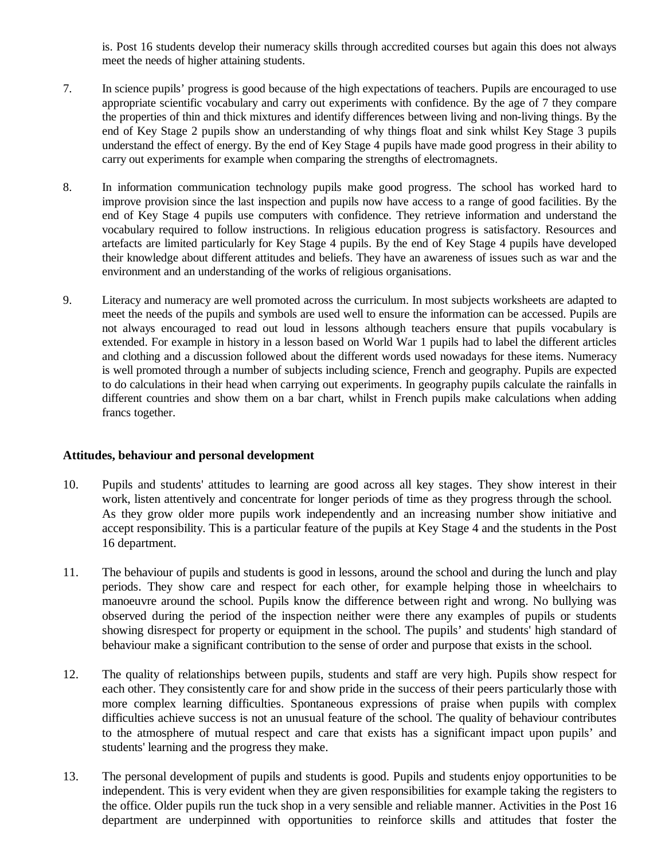is. Post 16 students develop their numeracy skills through accredited courses but again this does not always meet the needs of higher attaining students.

- 7. In science pupils' progress is good because of the high expectations of teachers. Pupils are encouraged to use appropriate scientific vocabulary and carry out experiments with confidence. By the age of 7 they compare the properties of thin and thick mixtures and identify differences between living and non-living things. By the end of Key Stage 2 pupils show an understanding of why things float and sink whilst Key Stage 3 pupils understand the effect of energy. By the end of Key Stage 4 pupils have made good progress in their ability to carry out experiments for example when comparing the strengths of electromagnets.
- 8. In information communication technology pupils make good progress. The school has worked hard to improve provision since the last inspection and pupils now have access to a range of good facilities. By the end of Key Stage 4 pupils use computers with confidence. They retrieve information and understand the vocabulary required to follow instructions. In religious education progress is satisfactory. Resources and artefacts are limited particularly for Key Stage 4 pupils. By the end of Key Stage 4 pupils have developed their knowledge about different attitudes and beliefs. They have an awareness of issues such as war and the environment and an understanding of the works of religious organisations.
- 9. Literacy and numeracy are well promoted across the curriculum. In most subjects worksheets are adapted to meet the needs of the pupils and symbols are used well to ensure the information can be accessed. Pupils are not always encouraged to read out loud in lessons although teachers ensure that pupils vocabulary is extended. For example in history in a lesson based on World War 1 pupils had to label the different articles and clothing and a discussion followed about the different words used nowadays for these items. Numeracy is well promoted through a number of subjects including science, French and geography. Pupils are expected to do calculations in their head when carrying out experiments. In geography pupils calculate the rainfalls in different countries and show them on a bar chart, whilst in French pupils make calculations when adding francs together.

#### **Attitudes, behaviour and personal development**

- 10. Pupils and students' attitudes to learning are good across all key stages. They show interest in their work, listen attentively and concentrate for longer periods of time as they progress through the school. As they grow older more pupils work independently and an increasing number show initiative and accept responsibility. This is a particular feature of the pupils at Key Stage 4 and the students in the Post 16 department.
- 11. The behaviour of pupils and students is good in lessons, around the school and during the lunch and play periods. They show care and respect for each other, for example helping those in wheelchairs to manoeuvre around the school. Pupils know the difference between right and wrong. No bullying was observed during the period of the inspection neither were there any examples of pupils or students showing disrespect for property or equipment in the school. The pupils' and students' high standard of behaviour make a significant contribution to the sense of order and purpose that exists in the school.
- 12. The quality of relationships between pupils, students and staff are very high. Pupils show respect for each other. They consistently care for and show pride in the success of their peers particularly those with more complex learning difficulties. Spontaneous expressions of praise when pupils with complex difficulties achieve success is not an unusual feature of the school. The quality of behaviour contributes to the atmosphere of mutual respect and care that exists has a significant impact upon pupils' and students' learning and the progress they make.
- 13. The personal development of pupils and students is good. Pupils and students enjoy opportunities to be independent. This is very evident when they are given responsibilities for example taking the registers to the office. Older pupils run the tuck shop in a very sensible and reliable manner. Activities in the Post 16 department are underpinned with opportunities to reinforce skills and attitudes that foster the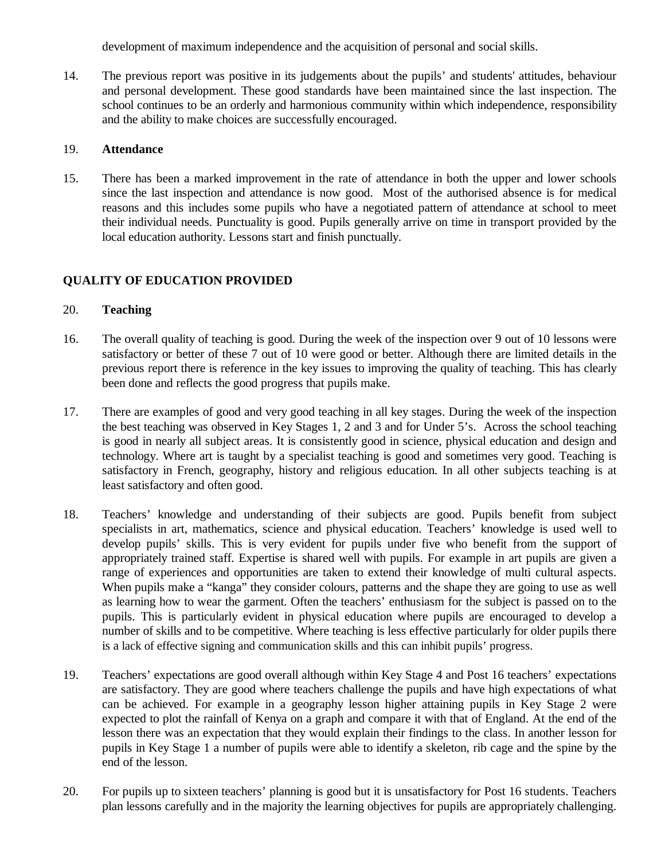development of maximum independence and the acquisition of personal and social skills.

14. The previous report was positive in its judgements about the pupils' and students' attitudes, behaviour and personal development. These good standards have been maintained since the last inspection. The school continues to be an orderly and harmonious community within which independence, responsibility and the ability to make choices are successfully encouraged.

## 19. **Attendance**

15. There has been a marked improvement in the rate of attendance in both the upper and lower schools since the last inspection and attendance is now good. Most of the authorised absence is for medical reasons and this includes some pupils who have a negotiated pattern of attendance at school to meet their individual needs. Punctuality is good. Pupils generally arrive on time in transport provided by the local education authority. Lessons start and finish punctually.

# **QUALITY OF EDUCATION PROVIDED**

## 20. **Teaching**

- 16. The overall quality of teaching is good. During the week of the inspection over 9 out of 10 lessons were satisfactory or better of these 7 out of 10 were good or better. Although there are limited details in the previous report there is reference in the key issues to improving the quality of teaching. This has clearly been done and reflects the good progress that pupils make.
- 17. There are examples of good and very good teaching in all key stages. During the week of the inspection the best teaching was observed in Key Stages 1, 2 and 3 and for Under 5's. Across the school teaching is good in nearly all subject areas. It is consistently good in science, physical education and design and technology. Where art is taught by a specialist teaching is good and sometimes very good. Teaching is satisfactory in French, geography, history and religious education. In all other subjects teaching is at least satisfactory and often good.
- 18. Teachers' knowledge and understanding of their subjects are good. Pupils benefit from subject specialists in art, mathematics, science and physical education. Teachers' knowledge is used well to develop pupils' skills. This is very evident for pupils under five who benefit from the support of appropriately trained staff. Expertise is shared well with pupils. For example in art pupils are given a range of experiences and opportunities are taken to extend their knowledge of multi cultural aspects. When pupils make a "kanga" they consider colours, patterns and the shape they are going to use as well as learning how to wear the garment. Often the teachers' enthusiasm for the subject is passed on to the pupils. This is particularly evident in physical education where pupils are encouraged to develop a number of skills and to be competitive. Where teaching is less effective particularly for older pupils there is a lack of effective signing and communication skills and this can inhibit pupils' progress.
- 19. Teachers' expectations are good overall although within Key Stage 4 and Post 16 teachers' expectations are satisfactory. They are good where teachers challenge the pupils and have high expectations of what can be achieved. For example in a geography lesson higher attaining pupils in Key Stage 2 were expected to plot the rainfall of Kenya on a graph and compare it with that of England. At the end of the lesson there was an expectation that they would explain their findings to the class. In another lesson for pupils in Key Stage 1 a number of pupils were able to identify a skeleton, rib cage and the spine by the end of the lesson.
- 20. For pupils up to sixteen teachers' planning is good but it is unsatisfactory for Post 16 students. Teachers plan lessons carefully and in the majority the learning objectives for pupils are appropriately challenging.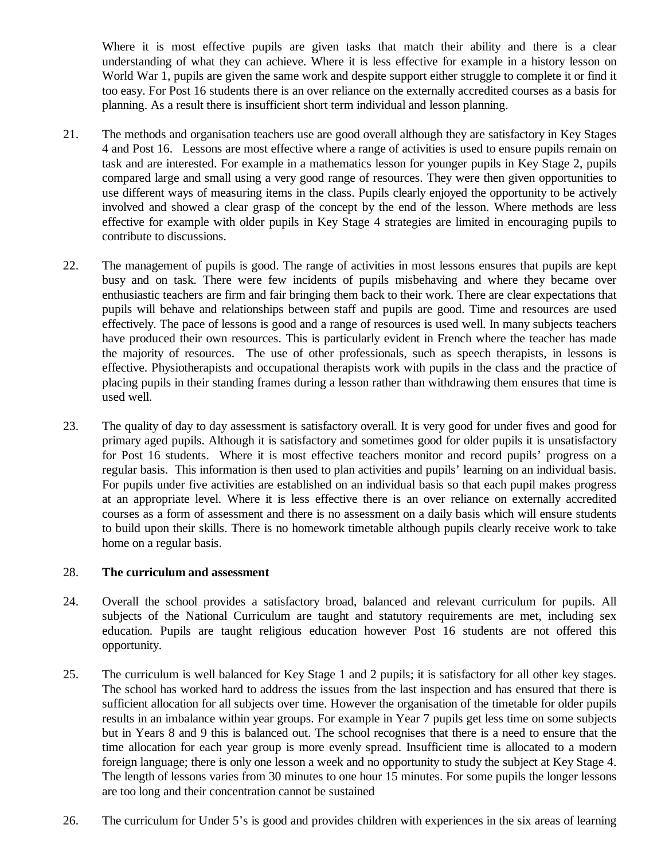Where it is most effective pupils are given tasks that match their ability and there is a clear understanding of what they can achieve. Where it is less effective for example in a history lesson on World War 1, pupils are given the same work and despite support either struggle to complete it or find it too easy. For Post 16 students there is an over reliance on the externally accredited courses as a basis for planning. As a result there is insufficient short term individual and lesson planning.

- 21. The methods and organisation teachers use are good overall although they are satisfactory in Key Stages 4 and Post 16. Lessons are most effective where a range of activities is used to ensure pupils remain on task and are interested. For example in a mathematics lesson for younger pupils in Key Stage 2, pupils compared large and small using a very good range of resources. They were then given opportunities to use different ways of measuring items in the class. Pupils clearly enjoyed the opportunity to be actively involved and showed a clear grasp of the concept by the end of the lesson. Where methods are less effective for example with older pupils in Key Stage 4 strategies are limited in encouraging pupils to contribute to discussions.
- 22. The management of pupils is good. The range of activities in most lessons ensures that pupils are kept busy and on task. There were few incidents of pupils misbehaving and where they became over enthusiastic teachers are firm and fair bringing them back to their work. There are clear expectations that pupils will behave and relationships between staff and pupils are good. Time and resources are used effectively. The pace of lessons is good and a range of resources is used well. In many subjects teachers have produced their own resources. This is particularly evident in French where the teacher has made the majority of resources. The use of other professionals, such as speech therapists, in lessons is effective. Physiotherapists and occupational therapists work with pupils in the class and the practice of placing pupils in their standing frames during a lesson rather than withdrawing them ensures that time is used well.
- 23. The quality of day to day assessment is satisfactory overall. It is very good for under fives and good for primary aged pupils. Although it is satisfactory and sometimes good for older pupils it is unsatisfactory for Post 16 students. Where it is most effective teachers monitor and record pupils' progress on a regular basis. This information is then used to plan activities and pupils' learning on an individual basis. For pupils under five activities are established on an individual basis so that each pupil makes progress at an appropriate level. Where it is less effective there is an over reliance on externally accredited courses as a form of assessment and there is no assessment on a daily basis which will ensure students to build upon their skills. There is no homework timetable although pupils clearly receive work to take home on a regular basis.

## 28. **The curriculum and assessment**

- 24. Overall the school provides a satisfactory broad, balanced and relevant curriculum for pupils. All subjects of the National Curriculum are taught and statutory requirements are met, including sex education. Pupils are taught religious education however Post 16 students are not offered this opportunity.
- 25. The curriculum is well balanced for Key Stage 1 and 2 pupils; it is satisfactory for all other key stages. The school has worked hard to address the issues from the last inspection and has ensured that there is sufficient allocation for all subjects over time. However the organisation of the timetable for older pupils results in an imbalance within year groups. For example in Year 7 pupils get less time on some subjects but in Years 8 and 9 this is balanced out. The school recognises that there is a need to ensure that the time allocation for each year group is more evenly spread. Insufficient time is allocated to a modern foreign language; there is only one lesson a week and no opportunity to study the subject at Key Stage 4. The length of lessons varies from 30 minutes to one hour 15 minutes. For some pupils the longer lessons are too long and their concentration cannot be sustained
- 26. The curriculum for Under 5's is good and provides children with experiences in the six areas of learning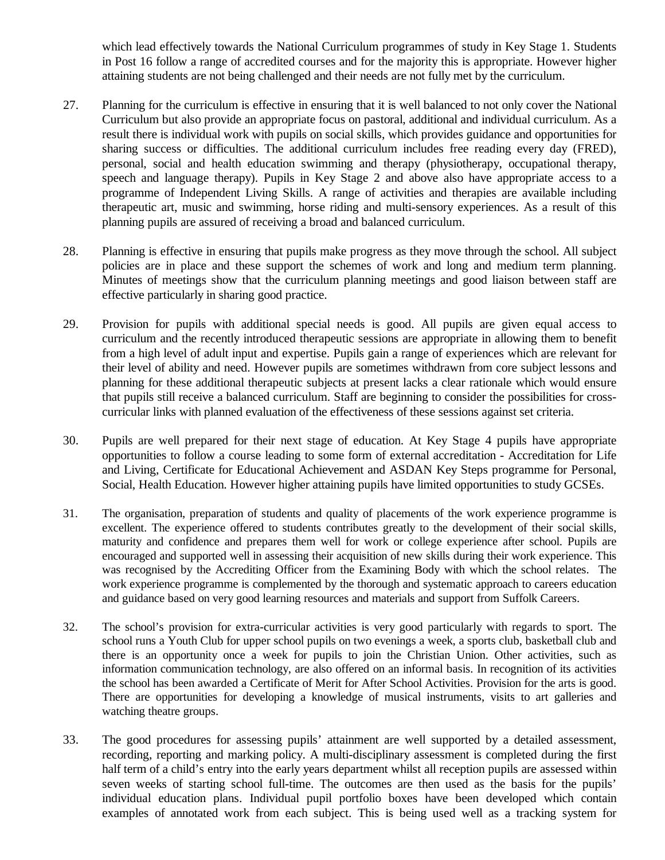which lead effectively towards the National Curriculum programmes of study in Key Stage 1. Students in Post 16 follow a range of accredited courses and for the majority this is appropriate. However higher attaining students are not being challenged and their needs are not fully met by the curriculum.

- 27. Planning for the curriculum is effective in ensuring that it is well balanced to not only cover the National Curriculum but also provide an appropriate focus on pastoral, additional and individual curriculum. As a result there is individual work with pupils on social skills, which provides guidance and opportunities for sharing success or difficulties. The additional curriculum includes free reading every day (FRED), personal, social and health education swimming and therapy (physiotherapy, occupational therapy, speech and language therapy). Pupils in Key Stage 2 and above also have appropriate access to a programme of Independent Living Skills. A range of activities and therapies are available including therapeutic art, music and swimming, horse riding and multi-sensory experiences. As a result of this planning pupils are assured of receiving a broad and balanced curriculum.
- 28. Planning is effective in ensuring that pupils make progress as they move through the school. All subject policies are in place and these support the schemes of work and long and medium term planning. Minutes of meetings show that the curriculum planning meetings and good liaison between staff are effective particularly in sharing good practice.
- 29. Provision for pupils with additional special needs is good. All pupils are given equal access to curriculum and the recently introduced therapeutic sessions are appropriate in allowing them to benefit from a high level of adult input and expertise. Pupils gain a range of experiences which are relevant for their level of ability and need. However pupils are sometimes withdrawn from core subject lessons and planning for these additional therapeutic subjects at present lacks a clear rationale which would ensure that pupils still receive a balanced curriculum. Staff are beginning to consider the possibilities for crosscurricular links with planned evaluation of the effectiveness of these sessions against set criteria.
- 30. Pupils are well prepared for their next stage of education. At Key Stage 4 pupils have appropriate opportunities to follow a course leading to some form of external accreditation - Accreditation for Life and Living, Certificate for Educational Achievement and ASDAN Key Steps programme for Personal, Social, Health Education. However higher attaining pupils have limited opportunities to study GCSEs.
- 31. The organisation, preparation of students and quality of placements of the work experience programme is excellent. The experience offered to students contributes greatly to the development of their social skills, maturity and confidence and prepares them well for work or college experience after school. Pupils are encouraged and supported well in assessing their acquisition of new skills during their work experience. This was recognised by the Accrediting Officer from the Examining Body with which the school relates. The work experience programme is complemented by the thorough and systematic approach to careers education and guidance based on very good learning resources and materials and support from Suffolk Careers.
- 32. The school's provision for extra-curricular activities is very good particularly with regards to sport. The school runs a Youth Club for upper school pupils on two evenings a week, a sports club, basketball club and there is an opportunity once a week for pupils to join the Christian Union. Other activities, such as information communication technology, are also offered on an informal basis. In recognition of its activities the school has been awarded a Certificate of Merit for After School Activities. Provision for the arts is good. There are opportunities for developing a knowledge of musical instruments, visits to art galleries and watching theatre groups.
- 33. The good procedures for assessing pupils' attainment are well supported by a detailed assessment, recording, reporting and marking policy. A multi-disciplinary assessment is completed during the first half term of a child's entry into the early years department whilst all reception pupils are assessed within seven weeks of starting school full-time. The outcomes are then used as the basis for the pupils' individual education plans. Individual pupil portfolio boxes have been developed which contain examples of annotated work from each subject. This is being used well as a tracking system for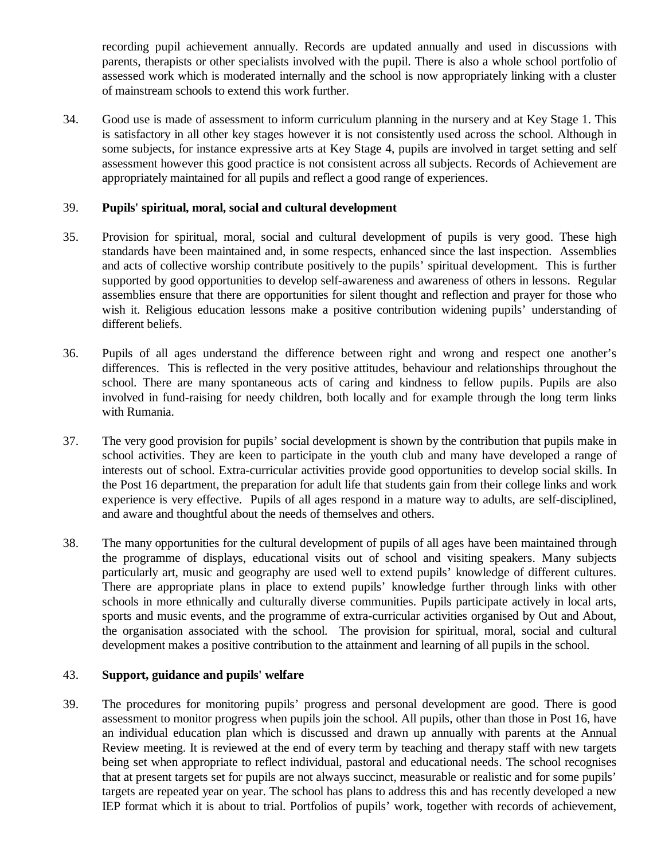recording pupil achievement annually. Records are updated annually and used in discussions with parents, therapists or other specialists involved with the pupil. There is also a whole school portfolio of assessed work which is moderated internally and the school is now appropriately linking with a cluster of mainstream schools to extend this work further.

34. Good use is made of assessment to inform curriculum planning in the nursery and at Key Stage 1. This is satisfactory in all other key stages however it is not consistently used across the school. Although in some subjects, for instance expressive arts at Key Stage 4, pupils are involved in target setting and self assessment however this good practice is not consistent across all subjects. Records of Achievement are appropriately maintained for all pupils and reflect a good range of experiences.

#### 39. **Pupils' spiritual, moral, social and cultural development**

- 35. Provision for spiritual, moral, social and cultural development of pupils is very good. These high standards have been maintained and, in some respects, enhanced since the last inspection. Assemblies and acts of collective worship contribute positively to the pupils' spiritual development. This is further supported by good opportunities to develop self-awareness and awareness of others in lessons. Regular assemblies ensure that there are opportunities for silent thought and reflection and prayer for those who wish it. Religious education lessons make a positive contribution widening pupils' understanding of different beliefs.
- 36. Pupils of all ages understand the difference between right and wrong and respect one another's differences. This is reflected in the very positive attitudes, behaviour and relationships throughout the school. There are many spontaneous acts of caring and kindness to fellow pupils. Pupils are also involved in fund-raising for needy children, both locally and for example through the long term links with Rumania.
- 37. The very good provision for pupils' social development is shown by the contribution that pupils make in school activities. They are keen to participate in the youth club and many have developed a range of interests out of school. Extra-curricular activities provide good opportunities to develop social skills. In the Post 16 department, the preparation for adult life that students gain from their college links and work experience is very effective. Pupils of all ages respond in a mature way to adults, are self-disciplined, and aware and thoughtful about the needs of themselves and others.
- 38. The many opportunities for the cultural development of pupils of all ages have been maintained through the programme of displays, educational visits out of school and visiting speakers. Many subjects particularly art, music and geography are used well to extend pupils' knowledge of different cultures. There are appropriate plans in place to extend pupils' knowledge further through links with other schools in more ethnically and culturally diverse communities. Pupils participate actively in local arts, sports and music events, and the programme of extra-curricular activities organised by Out and About, the organisation associated with the school. The provision for spiritual, moral, social and cultural development makes a positive contribution to the attainment and learning of all pupils in the school.

## 43. **Support, guidance and pupils' welfare**

39. The procedures for monitoring pupils' progress and personal development are good. There is good assessment to monitor progress when pupils join the school. All pupils, other than those in Post 16, have an individual education plan which is discussed and drawn up annually with parents at the Annual Review meeting. It is reviewed at the end of every term by teaching and therapy staff with new targets being set when appropriate to reflect individual, pastoral and educational needs. The school recognises that at present targets set for pupils are not always succinct, measurable or realistic and for some pupils' targets are repeated year on year. The school has plans to address this and has recently developed a new IEP format which it is about to trial. Portfolios of pupils' work, together with records of achievement,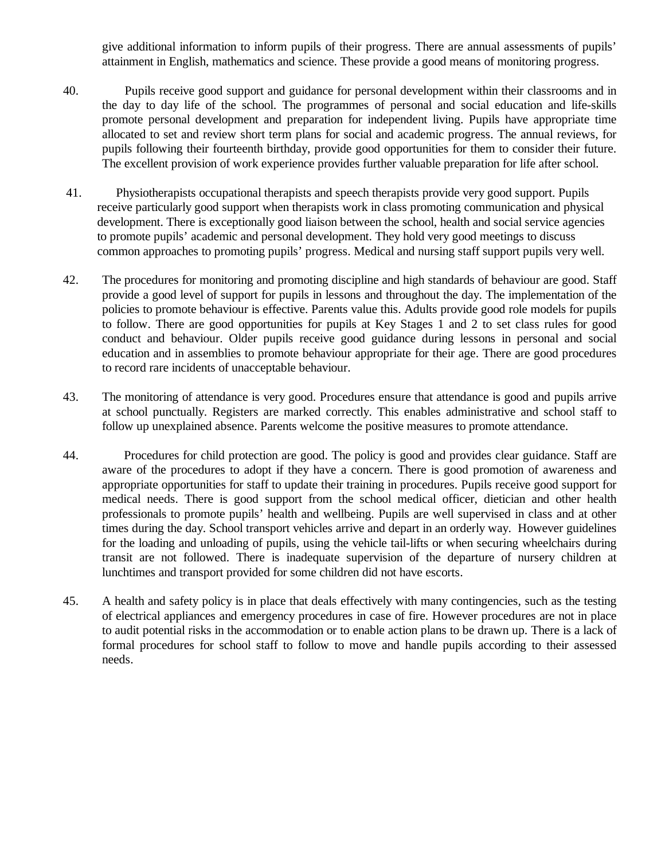give additional information to inform pupils of their progress. There are annual assessments of pupils' attainment in English, mathematics and science. These provide a good means of monitoring progress.

- 40. Pupils receive good support and guidance for personal development within their classrooms and in the day to day life of the school. The programmes of personal and social education and life-skills promote personal development and preparation for independent living. Pupils have appropriate time allocated to set and review short term plans for social and academic progress. The annual reviews, for pupils following their fourteenth birthday, provide good opportunities for them to consider their future. The excellent provision of work experience provides further valuable preparation for life after school.
- 41. Physiotherapists occupational therapists and speech therapists provide very good support. Pupils receive particularly good support when therapists work in class promoting communication and physical development. There is exceptionally good liaison between the school, health and social service agencies to promote pupils' academic and personal development. They hold very good meetings to discuss common approaches to promoting pupils' progress. Medical and nursing staff support pupils very well.
- 42. The procedures for monitoring and promoting discipline and high standards of behaviour are good. Staff provide a good level of support for pupils in lessons and throughout the day. The implementation of the policies to promote behaviour is effective. Parents value this. Adults provide good role models for pupils to follow. There are good opportunities for pupils at Key Stages 1 and 2 to set class rules for good conduct and behaviour. Older pupils receive good guidance during lessons in personal and social education and in assemblies to promote behaviour appropriate for their age. There are good procedures to record rare incidents of unacceptable behaviour.
- 43. The monitoring of attendance is very good. Procedures ensure that attendance is good and pupils arrive at school punctually. Registers are marked correctly. This enables administrative and school staff to follow up unexplained absence. Parents welcome the positive measures to promote attendance.
- 44. Procedures for child protection are good. The policy is good and provides clear guidance. Staff are aware of the procedures to adopt if they have a concern. There is good promotion of awareness and appropriate opportunities for staff to update their training in procedures. Pupils receive good support for medical needs. There is good support from the school medical officer, dietician and other health professionals to promote pupils' health and wellbeing. Pupils are well supervised in class and at other times during the day. School transport vehicles arrive and depart in an orderly way. However guidelines for the loading and unloading of pupils, using the vehicle tail-lifts or when securing wheelchairs during transit are not followed. There is inadequate supervision of the departure of nursery children at lunchtimes and transport provided for some children did not have escorts.
- 45. A health and safety policy is in place that deals effectively with many contingencies, such as the testing of electrical appliances and emergency procedures in case of fire. However procedures are not in place to audit potential risks in the accommodation or to enable action plans to be drawn up. There is a lack of formal procedures for school staff to follow to move and handle pupils according to their assessed needs.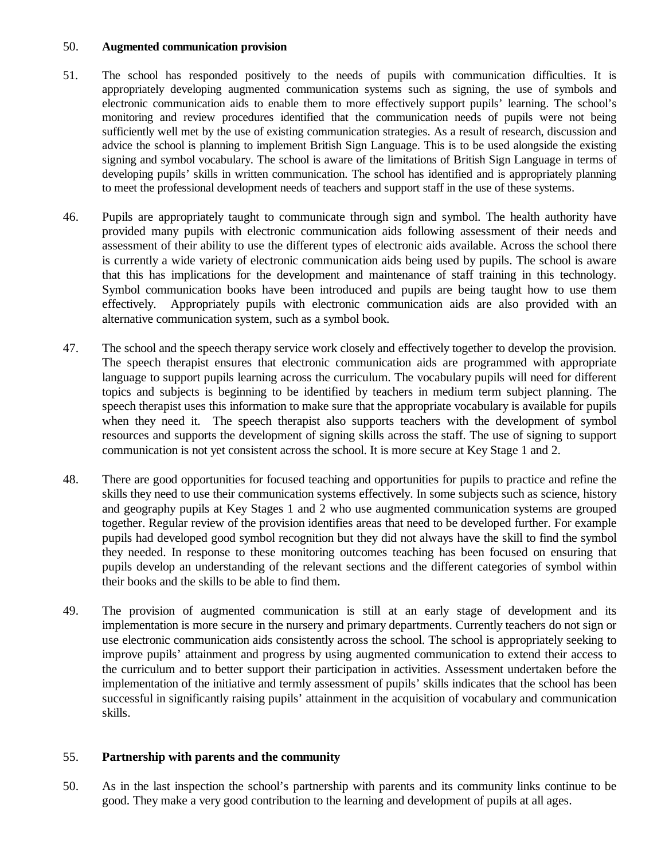#### 50. **Augmented communication provision**

- 51. The school has responded positively to the needs of pupils with communication difficulties. It is appropriately developing augmented communication systems such as signing, the use of symbols and electronic communication aids to enable them to more effectively support pupils' learning. The school's monitoring and review procedures identified that the communication needs of pupils were not being sufficiently well met by the use of existing communication strategies. As a result of research, discussion and advice the school is planning to implement British Sign Language. This is to be used alongside the existing signing and symbol vocabulary. The school is aware of the limitations of British Sign Language in terms of developing pupils' skills in written communication. The school has identified and is appropriately planning to meet the professional development needs of teachers and support staff in the use of these systems.
- 46. Pupils are appropriately taught to communicate through sign and symbol. The health authority have provided many pupils with electronic communication aids following assessment of their needs and assessment of their ability to use the different types of electronic aids available. Across the school there is currently a wide variety of electronic communication aids being used by pupils. The school is aware that this has implications for the development and maintenance of staff training in this technology. Symbol communication books have been introduced and pupils are being taught how to use them effectively. Appropriately pupils with electronic communication aids are also provided with an alternative communication system, such as a symbol book.
- 47. The school and the speech therapy service work closely and effectively together to develop the provision. The speech therapist ensures that electronic communication aids are programmed with appropriate language to support pupils learning across the curriculum. The vocabulary pupils will need for different topics and subjects is beginning to be identified by teachers in medium term subject planning. The speech therapist uses this information to make sure that the appropriate vocabulary is available for pupils when they need it. The speech therapist also supports teachers with the development of symbol resources and supports the development of signing skills across the staff. The use of signing to support communication is not yet consistent across the school. It is more secure at Key Stage 1 and 2.
- 48. There are good opportunities for focused teaching and opportunities for pupils to practice and refine the skills they need to use their communication systems effectively. In some subjects such as science, history and geography pupils at Key Stages 1 and 2 who use augmented communication systems are grouped together. Regular review of the provision identifies areas that need to be developed further. For example pupils had developed good symbol recognition but they did not always have the skill to find the symbol they needed. In response to these monitoring outcomes teaching has been focused on ensuring that pupils develop an understanding of the relevant sections and the different categories of symbol within their books and the skills to be able to find them.
- 49. The provision of augmented communication is still at an early stage of development and its implementation is more secure in the nursery and primary departments. Currently teachers do not sign or use electronic communication aids consistently across the school. The school is appropriately seeking to improve pupils' attainment and progress by using augmented communication to extend their access to the curriculum and to better support their participation in activities. Assessment undertaken before the implementation of the initiative and termly assessment of pupils' skills indicates that the school has been successful in significantly raising pupils' attainment in the acquisition of vocabulary and communication skills.

## 55. **Partnership with parents and the community**

50. As in the last inspection the school's partnership with parents and its community links continue to be good. They make a very good contribution to the learning and development of pupils at all ages.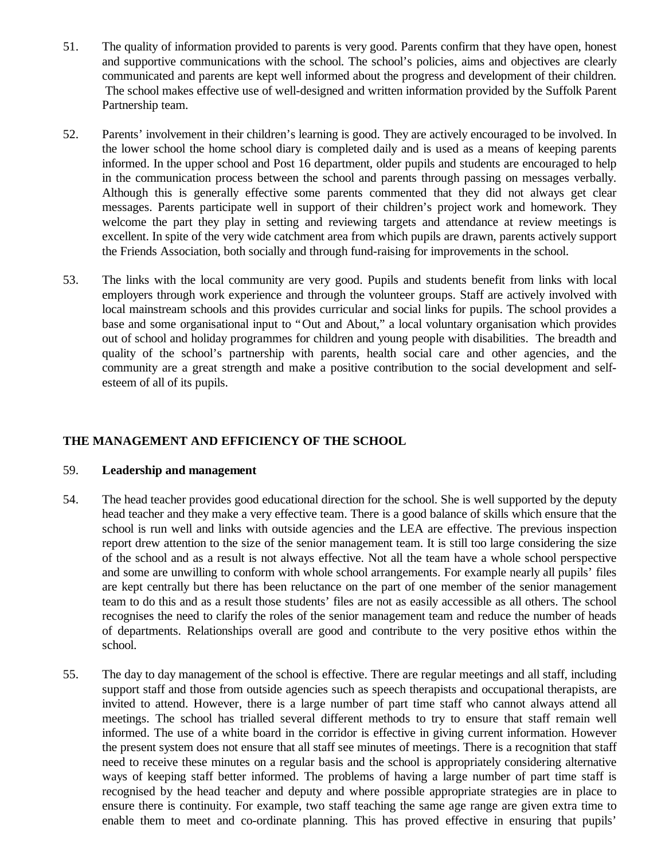- 51. The quality of information provided to parents is very good. Parents confirm that they have open, honest and supportive communications with the school. The school's policies, aims and objectives are clearly communicated and parents are kept well informed about the progress and development of their children. The school makes effective use of well-designed and written information provided by the Suffolk Parent Partnership team.
- 52. Parents' involvement in their children's learning is good. They are actively encouraged to be involved. In the lower school the home school diary is completed daily and is used as a means of keeping parents informed. In the upper school and Post 16 department, older pupils and students are encouraged to help in the communication process between the school and parents through passing on messages verbally. Although this is generally effective some parents commented that they did not always get clear messages. Parents participate well in support of their children's project work and homework. They welcome the part they play in setting and reviewing targets and attendance at review meetings is excellent. In spite of the very wide catchment area from which pupils are drawn, parents actively support the Friends Association, both socially and through fund-raising for improvements in the school.
- 53. The links with the local community are very good. Pupils and students benefit from links with local employers through work experience and through the volunteer groups. Staff are actively involved with local mainstream schools and this provides curricular and social links for pupils. The school provides a base and some organisational input to "Out and About," a local voluntary organisation which provides out of school and holiday programmes for children and young people with disabilities. The breadth and quality of the school's partnership with parents, health social care and other agencies, and the community are a great strength and make a positive contribution to the social development and selfesteem of all of its pupils.

# **THE MANAGEMENT AND EFFICIENCY OF THE SCHOOL**

## 59. **Leadership and management**

- 54. The head teacher provides good educational direction for the school. She is well supported by the deputy head teacher and they make a very effective team. There is a good balance of skills which ensure that the school is run well and links with outside agencies and the LEA are effective. The previous inspection report drew attention to the size of the senior management team. It is still too large considering the size of the school and as a result is not always effective. Not all the team have a whole school perspective and some are unwilling to conform with whole school arrangements. For example nearly all pupils' files are kept centrally but there has been reluctance on the part of one member of the senior management team to do this and as a result those students' files are not as easily accessible as all others. The school recognises the need to clarify the roles of the senior management team and reduce the number of heads of departments. Relationships overall are good and contribute to the very positive ethos within the school.
- 55. The day to day management of the school is effective. There are regular meetings and all staff, including support staff and those from outside agencies such as speech therapists and occupational therapists, are invited to attend. However, there is a large number of part time staff who cannot always attend all meetings. The school has trialled several different methods to try to ensure that staff remain well informed. The use of a white board in the corridor is effective in giving current information. However the present system does not ensure that all staff see minutes of meetings. There is a recognition that staff need to receive these minutes on a regular basis and the school is appropriately considering alternative ways of keeping staff better informed. The problems of having a large number of part time staff is recognised by the head teacher and deputy and where possible appropriate strategies are in place to ensure there is continuity. For example, two staff teaching the same age range are given extra time to enable them to meet and co-ordinate planning. This has proved effective in ensuring that pupils'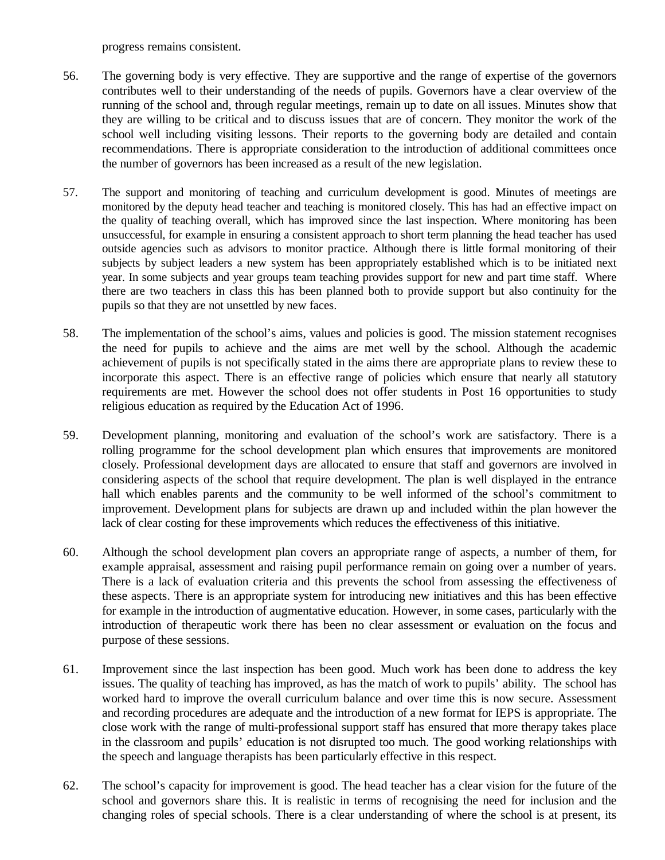progress remains consistent.

- 56. The governing body is very effective. They are supportive and the range of expertise of the governors contributes well to their understanding of the needs of pupils. Governors have a clear overview of the running of the school and, through regular meetings, remain up to date on all issues. Minutes show that they are willing to be critical and to discuss issues that are of concern. They monitor the work of the school well including visiting lessons. Their reports to the governing body are detailed and contain recommendations. There is appropriate consideration to the introduction of additional committees once the number of governors has been increased as a result of the new legislation.
- 57. The support and monitoring of teaching and curriculum development is good. Minutes of meetings are monitored by the deputy head teacher and teaching is monitored closely. This has had an effective impact on the quality of teaching overall, which has improved since the last inspection. Where monitoring has been unsuccessful, for example in ensuring a consistent approach to short term planning the head teacher has used outside agencies such as advisors to monitor practice. Although there is little formal monitoring of their subjects by subject leaders a new system has been appropriately established which is to be initiated next year. In some subjects and year groups team teaching provides support for new and part time staff. Where there are two teachers in class this has been planned both to provide support but also continuity for the pupils so that they are not unsettled by new faces.
- 58. The implementation of the school's aims, values and policies is good. The mission statement recognises the need for pupils to achieve and the aims are met well by the school. Although the academic achievement of pupils is not specifically stated in the aims there are appropriate plans to review these to incorporate this aspect. There is an effective range of policies which ensure that nearly all statutory requirements are met. However the school does not offer students in Post 16 opportunities to study religious education as required by the Education Act of 1996.
- 59. Development planning, monitoring and evaluation of the school's work are satisfactory. There is a rolling programme for the school development plan which ensures that improvements are monitored closely. Professional development days are allocated to ensure that staff and governors are involved in considering aspects of the school that require development. The plan is well displayed in the entrance hall which enables parents and the community to be well informed of the school's commitment to improvement. Development plans for subjects are drawn up and included within the plan however the lack of clear costing for these improvements which reduces the effectiveness of this initiative.
- 60. Although the school development plan covers an appropriate range of aspects, a number of them, for example appraisal, assessment and raising pupil performance remain on going over a number of years. There is a lack of evaluation criteria and this prevents the school from assessing the effectiveness of these aspects. There is an appropriate system for introducing new initiatives and this has been effective for example in the introduction of augmentative education. However, in some cases, particularly with the introduction of therapeutic work there has been no clear assessment or evaluation on the focus and purpose of these sessions.
- 61. Improvement since the last inspection has been good. Much work has been done to address the key issues. The quality of teaching has improved, as has the match of work to pupils' ability. The school has worked hard to improve the overall curriculum balance and over time this is now secure. Assessment and recording procedures are adequate and the introduction of a new format for IEPS is appropriate. The close work with the range of multi-professional support staff has ensured that more therapy takes place in the classroom and pupils' education is not disrupted too much. The good working relationships with the speech and language therapists has been particularly effective in this respect.
- 62. The school's capacity for improvement is good. The head teacher has a clear vision for the future of the school and governors share this. It is realistic in terms of recognising the need for inclusion and the changing roles of special schools. There is a clear understanding of where the school is at present, its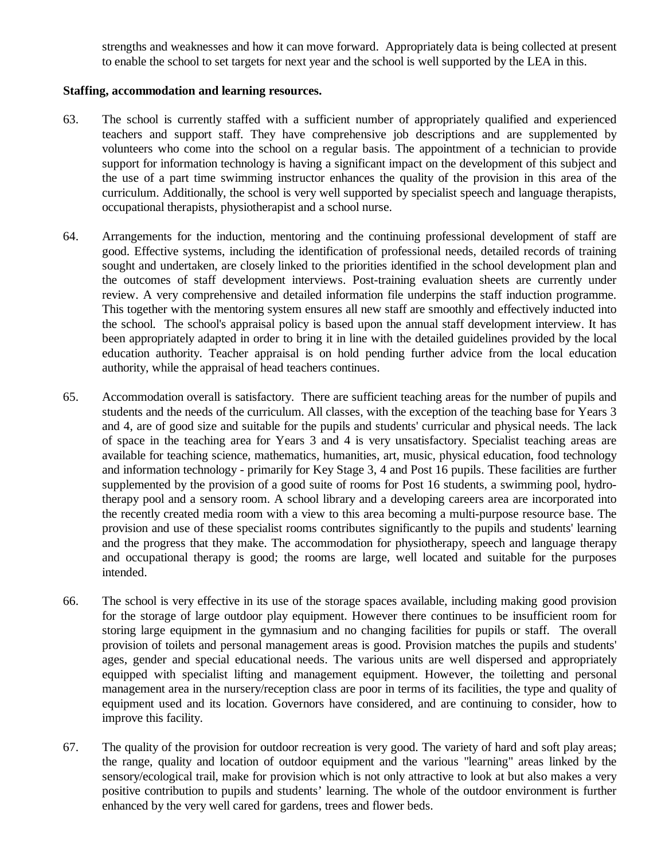strengths and weaknesses and how it can move forward. Appropriately data is being collected at present to enable the school to set targets for next year and the school is well supported by the LEA in this.

## **Staffing, accommodation and learning resources.**

- 63. The school is currently staffed with a sufficient number of appropriately qualified and experienced teachers and support staff. They have comprehensive job descriptions and are supplemented by volunteers who come into the school on a regular basis. The appointment of a technician to provide support for information technology is having a significant impact on the development of this subject and the use of a part time swimming instructor enhances the quality of the provision in this area of the curriculum. Additionally, the school is very well supported by specialist speech and language therapists, occupational therapists, physiotherapist and a school nurse.
- 64. Arrangements for the induction, mentoring and the continuing professional development of staff are good. Effective systems, including the identification of professional needs, detailed records of training sought and undertaken, are closely linked to the priorities identified in the school development plan and the outcomes of staff development interviews. Post-training evaluation sheets are currently under review. A very comprehensive and detailed information file underpins the staff induction programme. This together with the mentoring system ensures all new staff are smoothly and effectively inducted into the school. The school's appraisal policy is based upon the annual staff development interview. It has been appropriately adapted in order to bring it in line with the detailed guidelines provided by the local education authority. Teacher appraisal is on hold pending further advice from the local education authority, while the appraisal of head teachers continues.
- 65. Accommodation overall is satisfactory. There are sufficient teaching areas for the number of pupils and students and the needs of the curriculum. All classes, with the exception of the teaching base for Years 3 and 4, are of good size and suitable for the pupils and students' curricular and physical needs. The lack of space in the teaching area for Years 3 and 4 is very unsatisfactory. Specialist teaching areas are available for teaching science, mathematics, humanities, art, music, physical education, food technology and information technology - primarily for Key Stage 3, 4 and Post 16 pupils. These facilities are further supplemented by the provision of a good suite of rooms for Post 16 students, a swimming pool, hydrotherapy pool and a sensory room. A school library and a developing careers area are incorporated into the recently created media room with a view to this area becoming a multi-purpose resource base. The provision and use of these specialist rooms contributes significantly to the pupils and students' learning and the progress that they make. The accommodation for physiotherapy, speech and language therapy and occupational therapy is good; the rooms are large, well located and suitable for the purposes intended.
- 66. The school is very effective in its use of the storage spaces available, including making good provision for the storage of large outdoor play equipment. However there continues to be insufficient room for storing large equipment in the gymnasium and no changing facilities for pupils or staff. The overall provision of toilets and personal management areas is good. Provision matches the pupils and students' ages, gender and special educational needs. The various units are well dispersed and appropriately equipped with specialist lifting and management equipment. However, the toiletting and personal management area in the nursery/reception class are poor in terms of its facilities, the type and quality of equipment used and its location. Governors have considered, and are continuing to consider, how to improve this facility.
- 67. The quality of the provision for outdoor recreation is very good. The variety of hard and soft play areas; the range, quality and location of outdoor equipment and the various "learning" areas linked by the sensory/ecological trail, make for provision which is not only attractive to look at but also makes a very positive contribution to pupils and students' learning. The whole of the outdoor environment is further enhanced by the very well cared for gardens, trees and flower beds.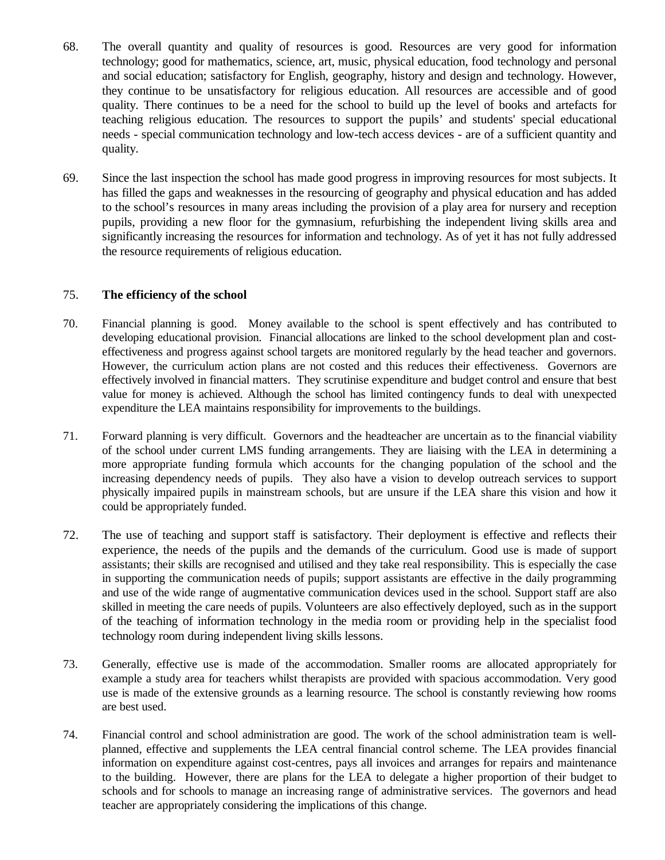- 68. The overall quantity and quality of resources is good. Resources are very good for information technology; good for mathematics, science, art, music, physical education, food technology and personal and social education; satisfactory for English, geography, history and design and technology. However, they continue to be unsatisfactory for religious education. All resources are accessible and of good quality. There continues to be a need for the school to build up the level of books and artefacts for teaching religious education. The resources to support the pupils' and students' special educational needs - special communication technology and low-tech access devices - are of a sufficient quantity and quality.
- 69. Since the last inspection the school has made good progress in improving resources for most subjects. It has filled the gaps and weaknesses in the resourcing of geography and physical education and has added to the school's resources in many areas including the provision of a play area for nursery and reception pupils, providing a new floor for the gymnasium, refurbishing the independent living skills area and significantly increasing the resources for information and technology. As of yet it has not fully addressed the resource requirements of religious education.

## 75. **The efficiency of the school**

- 70. Financial planning is good. Money available to the school is spent effectively and has contributed to developing educational provision. Financial allocations are linked to the school development plan and costeffectiveness and progress against school targets are monitored regularly by the head teacher and governors. However, the curriculum action plans are not costed and this reduces their effectiveness. Governors are effectively involved in financial matters. They scrutinise expenditure and budget control and ensure that best value for money is achieved. Although the school has limited contingency funds to deal with unexpected expenditure the LEA maintains responsibility for improvements to the buildings.
- 71. Forward planning is very difficult. Governors and the headteacher are uncertain as to the financial viability of the school under current LMS funding arrangements. They are liaising with the LEA in determining a more appropriate funding formula which accounts for the changing population of the school and the increasing dependency needs of pupils. They also have a vision to develop outreach services to support physically impaired pupils in mainstream schools, but are unsure if the LEA share this vision and how it could be appropriately funded.
- 72. The use of teaching and support staff is satisfactory. Their deployment is effective and reflects their experience, the needs of the pupils and the demands of the curriculum. Good use is made of support assistants; their skills are recognised and utilised and they take real responsibility. This is especially the case in supporting the communication needs of pupils; support assistants are effective in the daily programming and use of the wide range of augmentative communication devices used in the school. Support staff are also skilled in meeting the care needs of pupils. Volunteers are also effectively deployed, such as in the support of the teaching of information technology in the media room or providing help in the specialist food technology room during independent living skills lessons.
- 73. Generally, effective use is made of the accommodation. Smaller rooms are allocated appropriately for example a study area for teachers whilst therapists are provided with spacious accommodation. Very good use is made of the extensive grounds as a learning resource. The school is constantly reviewing how rooms are best used.
- 74. Financial control and school administration are good. The work of the school administration team is wellplanned, effective and supplements the LEA central financial control scheme. The LEA provides financial information on expenditure against cost-centres, pays all invoices and arranges for repairs and maintenance to the building. However, there are plans for the LEA to delegate a higher proportion of their budget to schools and for schools to manage an increasing range of administrative services. The governors and head teacher are appropriately considering the implications of this change.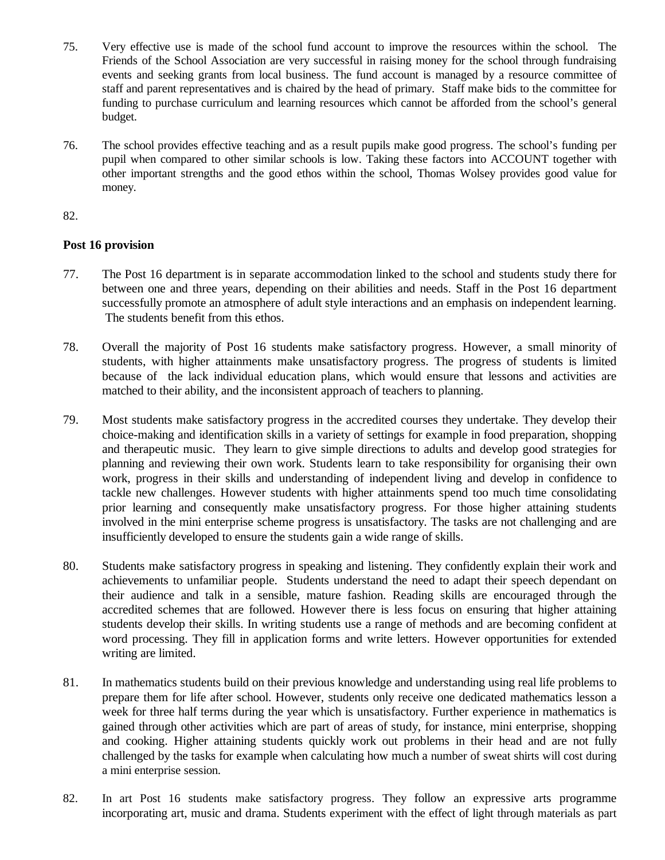- 75. Very effective use is made of the school fund account to improve the resources within the school. The Friends of the School Association are very successful in raising money for the school through fundraising events and seeking grants from local business. The fund account is managed by a resource committee of staff and parent representatives and is chaired by the head of primary. Staff make bids to the committee for funding to purchase curriculum and learning resources which cannot be afforded from the school's general budget.
- 76. The school provides effective teaching and as a result pupils make good progress. The school's funding per pupil when compared to other similar schools is low. Taking these factors into ACCOUNT together with other important strengths and the good ethos within the school, Thomas Wolsey provides good value for money.

#### 82.

## **Post 16 provision**

- 77. The Post 16 department is in separate accommodation linked to the school and students study there for between one and three years, depending on their abilities and needs. Staff in the Post 16 department successfully promote an atmosphere of adult style interactions and an emphasis on independent learning. The students benefit from this ethos.
- 78. Overall the majority of Post 16 students make satisfactory progress. However, a small minority of students, with higher attainments make unsatisfactory progress. The progress of students is limited because of the lack individual education plans, which would ensure that lessons and activities are matched to their ability, and the inconsistent approach of teachers to planning.
- 79. Most students make satisfactory progress in the accredited courses they undertake. They develop their choice-making and identification skills in a variety of settings for example in food preparation, shopping and therapeutic music. They learn to give simple directions to adults and develop good strategies for planning and reviewing their own work. Students learn to take responsibility for organising their own work, progress in their skills and understanding of independent living and develop in confidence to tackle new challenges. However students with higher attainments spend too much time consolidating prior learning and consequently make unsatisfactory progress. For those higher attaining students involved in the mini enterprise scheme progress is unsatisfactory. The tasks are not challenging and are insufficiently developed to ensure the students gain a wide range of skills.
- 80. Students make satisfactory progress in speaking and listening. They confidently explain their work and achievements to unfamiliar people. Students understand the need to adapt their speech dependant on their audience and talk in a sensible, mature fashion. Reading skills are encouraged through the accredited schemes that are followed. However there is less focus on ensuring that higher attaining students develop their skills. In writing students use a range of methods and are becoming confident at word processing. They fill in application forms and write letters. However opportunities for extended writing are limited.
- 81. In mathematics students build on their previous knowledge and understanding using real life problems to prepare them for life after school. However, students only receive one dedicated mathematics lesson a week for three half terms during the year which is unsatisfactory. Further experience in mathematics is gained through other activities which are part of areas of study, for instance, mini enterprise, shopping and cooking. Higher attaining students quickly work out problems in their head and are not fully challenged by the tasks for example when calculating how much a number of sweat shirts will cost during a mini enterprise session.
- 82. In art Post 16 students make satisfactory progress. They follow an expressive arts programme incorporating art, music and drama. Students experiment with the effect of light through materials as part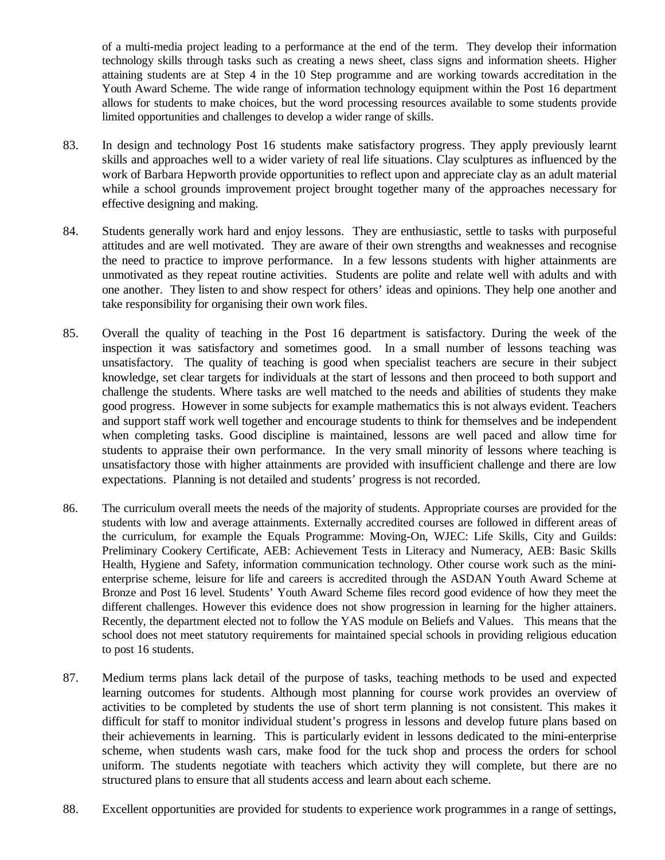of a multi-media project leading to a performance at the end of the term. They develop their information technology skills through tasks such as creating a news sheet, class signs and information sheets. Higher attaining students are at Step 4 in the 10 Step programme and are working towards accreditation in the Youth Award Scheme. The wide range of information technology equipment within the Post 16 department allows for students to make choices, but the word processing resources available to some students provide limited opportunities and challenges to develop a wider range of skills.

- 83. In design and technology Post 16 students make satisfactory progress. They apply previously learnt skills and approaches well to a wider variety of real life situations. Clay sculptures as influenced by the work of Barbara Hepworth provide opportunities to reflect upon and appreciate clay as an adult material while a school grounds improvement project brought together many of the approaches necessary for effective designing and making.
- 84. Students generally work hard and enjoy lessons. They are enthusiastic, settle to tasks with purposeful attitudes and are well motivated. They are aware of their own strengths and weaknesses and recognise the need to practice to improve performance. In a few lessons students with higher attainments are unmotivated as they repeat routine activities. Students are polite and relate well with adults and with one another. They listen to and show respect for others' ideas and opinions. They help one another and take responsibility for organising their own work files.
- 85. Overall the quality of teaching in the Post 16 department is satisfactory. During the week of the inspection it was satisfactory and sometimes good. In a small number of lessons teaching was unsatisfactory. The quality of teaching is good when specialist teachers are secure in their subject knowledge, set clear targets for individuals at the start of lessons and then proceed to both support and challenge the students. Where tasks are well matched to the needs and abilities of students they make good progress. However in some subjects for example mathematics this is not always evident. Teachers and support staff work well together and encourage students to think for themselves and be independent when completing tasks. Good discipline is maintained, lessons are well paced and allow time for students to appraise their own performance. In the very small minority of lessons where teaching is unsatisfactory those with higher attainments are provided with insufficient challenge and there are low expectations. Planning is not detailed and students' progress is not recorded.
- 86. The curriculum overall meets the needs of the majority of students. Appropriate courses are provided for the students with low and average attainments. Externally accredited courses are followed in different areas of the curriculum, for example the Equals Programme: Moving-On, WJEC: Life Skills, City and Guilds: Preliminary Cookery Certificate, AEB: Achievement Tests in Literacy and Numeracy, AEB: Basic Skills Health, Hygiene and Safety, information communication technology. Other course work such as the minienterprise scheme, leisure for life and careers is accredited through the ASDAN Youth Award Scheme at Bronze and Post 16 level. Students' Youth Award Scheme files record good evidence of how they meet the different challenges. However this evidence does not show progression in learning for the higher attainers. Recently, the department elected not to follow the YAS module on Beliefs and Values. This means that the school does not meet statutory requirements for maintained special schools in providing religious education to post 16 students.
- 87. Medium terms plans lack detail of the purpose of tasks, teaching methods to be used and expected learning outcomes for students. Although most planning for course work provides an overview of activities to be completed by students the use of short term planning is not consistent. This makes it difficult for staff to monitor individual student's progress in lessons and develop future plans based on their achievements in learning. This is particularly evident in lessons dedicated to the mini-enterprise scheme, when students wash cars, make food for the tuck shop and process the orders for school uniform. The students negotiate with teachers which activity they will complete, but there are no structured plans to ensure that all students access and learn about each scheme.
- 88. Excellent opportunities are provided for students to experience work programmes in a range of settings,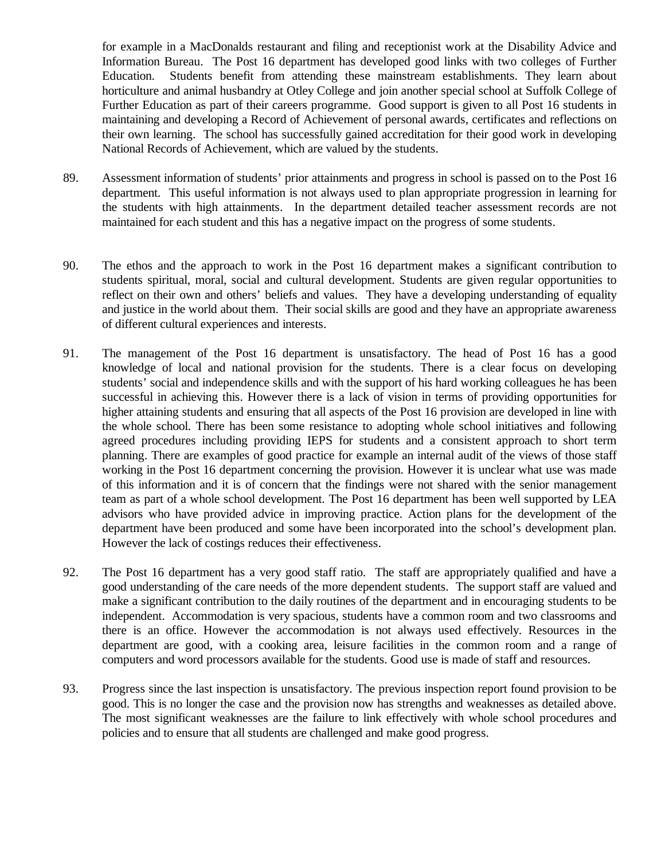for example in a MacDonalds restaurant and filing and receptionist work at the Disability Advice and Information Bureau. The Post 16 department has developed good links with two colleges of Further Education. Students benefit from attending these mainstream establishments. They learn about horticulture and animal husbandry at Otley College and join another special school at Suffolk College of Further Education as part of their careers programme. Good support is given to all Post 16 students in maintaining and developing a Record of Achievement of personal awards, certificates and reflections on their own learning. The school has successfully gained accreditation for their good work in developing National Records of Achievement, which are valued by the students.

- 89. Assessment information of students' prior attainments and progress in school is passed on to the Post 16 department. This useful information is not always used to plan appropriate progression in learning for the students with high attainments. In the department detailed teacher assessment records are not maintained for each student and this has a negative impact on the progress of some students.
- 90. The ethos and the approach to work in the Post 16 department makes a significant contribution to students spiritual, moral, social and cultural development. Students are given regular opportunities to reflect on their own and others' beliefs and values. They have a developing understanding of equality and justice in the world about them. Their social skills are good and they have an appropriate awareness of different cultural experiences and interests.
- 91. The management of the Post 16 department is unsatisfactory. The head of Post 16 has a good knowledge of local and national provision for the students. There is a clear focus on developing students' social and independence skills and with the support of his hard working colleagues he has been successful in achieving this. However there is a lack of vision in terms of providing opportunities for higher attaining students and ensuring that all aspects of the Post 16 provision are developed in line with the whole school. There has been some resistance to adopting whole school initiatives and following agreed procedures including providing IEPS for students and a consistent approach to short term planning. There are examples of good practice for example an internal audit of the views of those staff working in the Post 16 department concerning the provision. However it is unclear what use was made of this information and it is of concern that the findings were not shared with the senior management team as part of a whole school development. The Post 16 department has been well supported by LEA advisors who have provided advice in improving practice. Action plans for the development of the department have been produced and some have been incorporated into the school's development plan. However the lack of costings reduces their effectiveness.
- 92. The Post 16 department has a very good staff ratio. The staff are appropriately qualified and have a good understanding of the care needs of the more dependent students. The support staff are valued and make a significant contribution to the daily routines of the department and in encouraging students to be independent. Accommodation is very spacious, students have a common room and two classrooms and there is an office. However the accommodation is not always used effectively. Resources in the department are good, with a cooking area, leisure facilities in the common room and a range of computers and word processors available for the students. Good use is made of staff and resources.
- 93. Progress since the last inspection is unsatisfactory. The previous inspection report found provision to be good. This is no longer the case and the provision now has strengths and weaknesses as detailed above. The most significant weaknesses are the failure to link effectively with whole school procedures and policies and to ensure that all students are challenged and make good progress.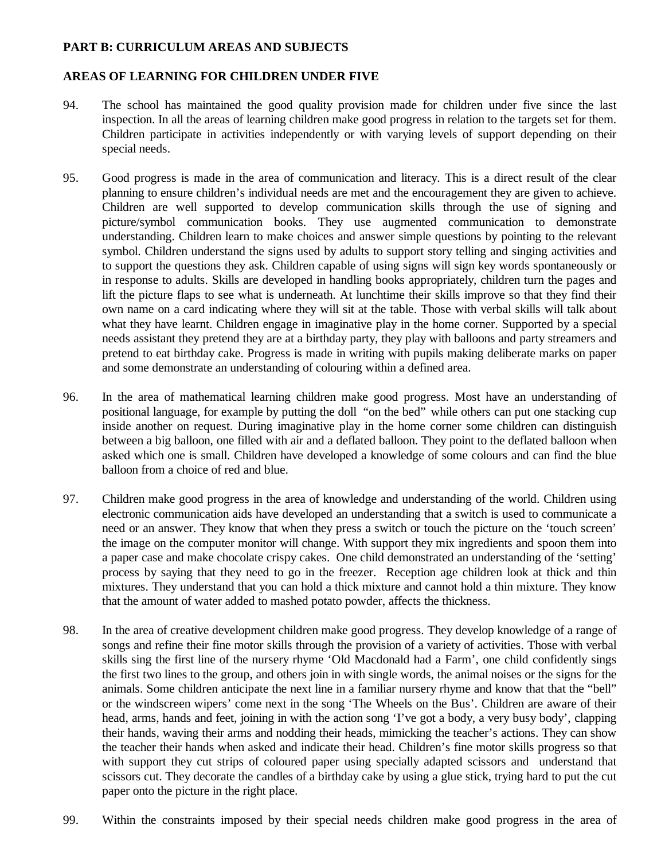## **PART B: CURRICULUM AREAS AND SUBJECTS**

## **AREAS OF LEARNING FOR CHILDREN UNDER FIVE**

- 94. The school has maintained the good quality provision made for children under five since the last inspection. In all the areas of learning children make good progress in relation to the targets set for them. Children participate in activities independently or with varying levels of support depending on their special needs.
- 95. Good progress is made in the area of communication and literacy. This is a direct result of the clear planning to ensure children's individual needs are met and the encouragement they are given to achieve. Children are well supported to develop communication skills through the use of signing and picture/symbol communication books. They use augmented communication to demonstrate understanding. Children learn to make choices and answer simple questions by pointing to the relevant symbol. Children understand the signs used by adults to support story telling and singing activities and to support the questions they ask. Children capable of using signs will sign key words spontaneously or in response to adults. Skills are developed in handling books appropriately, children turn the pages and lift the picture flaps to see what is underneath. At lunchtime their skills improve so that they find their own name on a card indicating where they will sit at the table. Those with verbal skills will talk about what they have learnt. Children engage in imaginative play in the home corner. Supported by a special needs assistant they pretend they are at a birthday party, they play with balloons and party streamers and pretend to eat birthday cake. Progress is made in writing with pupils making deliberate marks on paper and some demonstrate an understanding of colouring within a defined area.
- 96. In the area of mathematical learning children make good progress. Most have an understanding of positional language, for example by putting the doll "on the bed" while others can put one stacking cup inside another on request. During imaginative play in the home corner some children can distinguish between a big balloon, one filled with air and a deflated balloon. They point to the deflated balloon when asked which one is small. Children have developed a knowledge of some colours and can find the blue balloon from a choice of red and blue.
- 97. Children make good progress in the area of knowledge and understanding of the world. Children using electronic communication aids have developed an understanding that a switch is used to communicate a need or an answer. They know that when they press a switch or touch the picture on the 'touch screen' the image on the computer monitor will change. With support they mix ingredients and spoon them into a paper case and make chocolate crispy cakes. One child demonstrated an understanding of the 'setting' process by saying that they need to go in the freezer. Reception age children look at thick and thin mixtures. They understand that you can hold a thick mixture and cannot hold a thin mixture. They know that the amount of water added to mashed potato powder, affects the thickness.
- 98. In the area of creative development children make good progress. They develop knowledge of a range of songs and refine their fine motor skills through the provision of a variety of activities. Those with verbal skills sing the first line of the nursery rhyme 'Old Macdonald had a Farm', one child confidently sings the first two lines to the group, and others join in with single words, the animal noises or the signs for the animals. Some children anticipate the next line in a familiar nursery rhyme and know that that the "bell" or the windscreen wipers' come next in the song 'The Wheels on the Bus'. Children are aware of their head, arms, hands and feet, joining in with the action song 'I've got a body, a very busy body', clapping their hands, waving their arms and nodding their heads, mimicking the teacher's actions. They can show the teacher their hands when asked and indicate their head. Children's fine motor skills progress so that with support they cut strips of coloured paper using specially adapted scissors and understand that scissors cut. They decorate the candles of a birthday cake by using a glue stick, trying hard to put the cut paper onto the picture in the right place.
- 99. Within the constraints imposed by their special needs children make good progress in the area of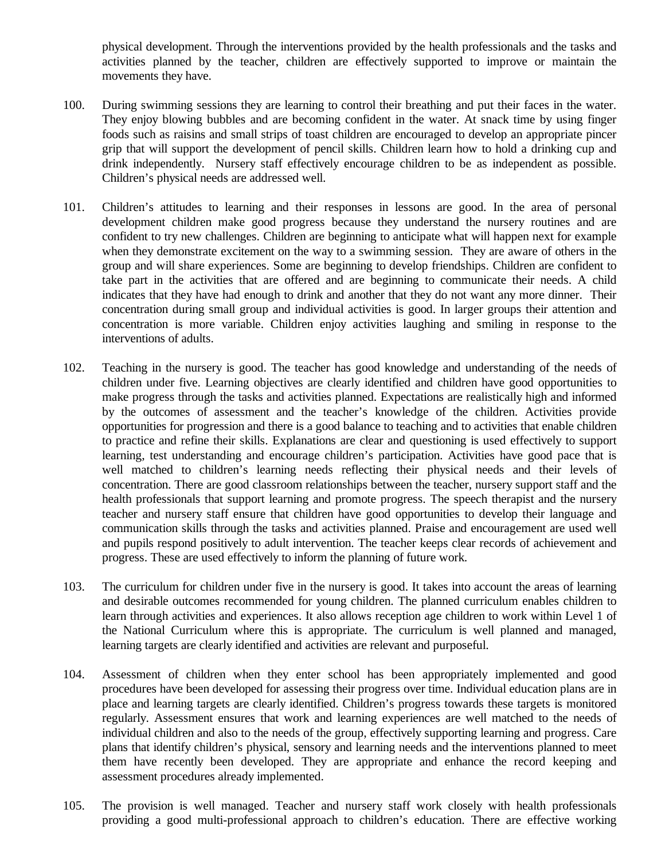physical development. Through the interventions provided by the health professionals and the tasks and activities planned by the teacher, children are effectively supported to improve or maintain the movements they have.

- 100. During swimming sessions they are learning to control their breathing and put their faces in the water. They enjoy blowing bubbles and are becoming confident in the water. At snack time by using finger foods such as raisins and small strips of toast children are encouraged to develop an appropriate pincer grip that will support the development of pencil skills. Children learn how to hold a drinking cup and drink independently. Nursery staff effectively encourage children to be as independent as possible. Children's physical needs are addressed well.
- 101. Children's attitudes to learning and their responses in lessons are good. In the area of personal development children make good progress because they understand the nursery routines and are confident to try new challenges. Children are beginning to anticipate what will happen next for example when they demonstrate excitement on the way to a swimming session. They are aware of others in the group and will share experiences. Some are beginning to develop friendships. Children are confident to take part in the activities that are offered and are beginning to communicate their needs. A child indicates that they have had enough to drink and another that they do not want any more dinner. Their concentration during small group and individual activities is good. In larger groups their attention and concentration is more variable. Children enjoy activities laughing and smiling in response to the interventions of adults.
- 102. Teaching in the nursery is good. The teacher has good knowledge and understanding of the needs of children under five. Learning objectives are clearly identified and children have good opportunities to make progress through the tasks and activities planned. Expectations are realistically high and informed by the outcomes of assessment and the teacher's knowledge of the children. Activities provide opportunities for progression and there is a good balance to teaching and to activities that enable children to practice and refine their skills. Explanations are clear and questioning is used effectively to support learning, test understanding and encourage children's participation. Activities have good pace that is well matched to children's learning needs reflecting their physical needs and their levels of concentration. There are good classroom relationships between the teacher, nursery support staff and the health professionals that support learning and promote progress. The speech therapist and the nursery teacher and nursery staff ensure that children have good opportunities to develop their language and communication skills through the tasks and activities planned. Praise and encouragement are used well and pupils respond positively to adult intervention. The teacher keeps clear records of achievement and progress. These are used effectively to inform the planning of future work.
- 103. The curriculum for children under five in the nursery is good. It takes into account the areas of learning and desirable outcomes recommended for young children. The planned curriculum enables children to learn through activities and experiences. It also allows reception age children to work within Level 1 of the National Curriculum where this is appropriate. The curriculum is well planned and managed, learning targets are clearly identified and activities are relevant and purposeful.
- 104. Assessment of children when they enter school has been appropriately implemented and good procedures have been developed for assessing their progress over time. Individual education plans are in place and learning targets are clearly identified. Children's progress towards these targets is monitored regularly. Assessment ensures that work and learning experiences are well matched to the needs of individual children and also to the needs of the group, effectively supporting learning and progress. Care plans that identify children's physical, sensory and learning needs and the interventions planned to meet them have recently been developed. They are appropriate and enhance the record keeping and assessment procedures already implemented.
- 105. The provision is well managed. Teacher and nursery staff work closely with health professionals providing a good multi-professional approach to children's education. There are effective working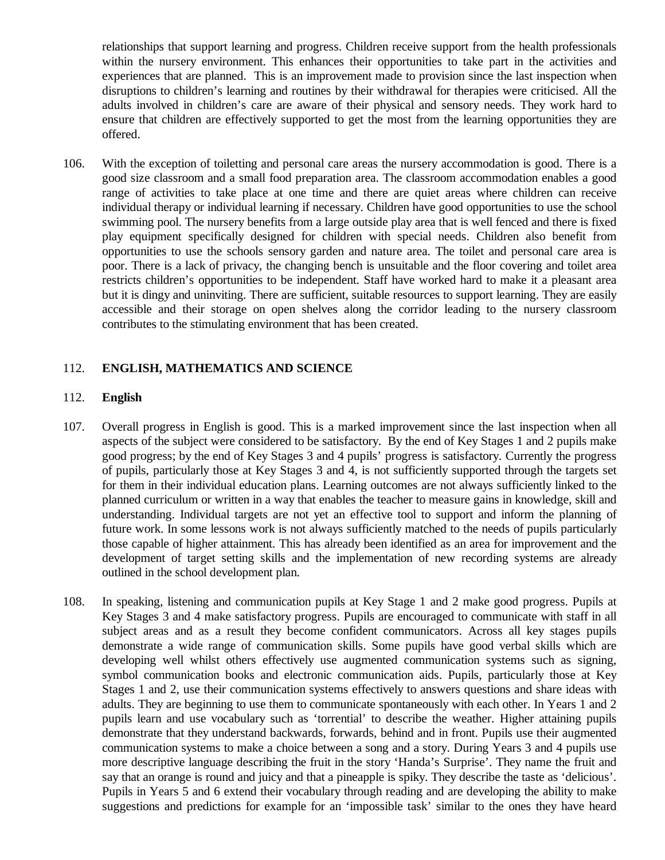relationships that support learning and progress. Children receive support from the health professionals within the nursery environment. This enhances their opportunities to take part in the activities and experiences that are planned. This is an improvement made to provision since the last inspection when disruptions to children's learning and routines by their withdrawal for therapies were criticised. All the adults involved in children's care are aware of their physical and sensory needs. They work hard to ensure that children are effectively supported to get the most from the learning opportunities they are offered.

106. With the exception of toiletting and personal care areas the nursery accommodation is good. There is a good size classroom and a small food preparation area. The classroom accommodation enables a good range of activities to take place at one time and there are quiet areas where children can receive individual therapy or individual learning if necessary. Children have good opportunities to use the school swimming pool. The nursery benefits from a large outside play area that is well fenced and there is fixed play equipment specifically designed for children with special needs. Children also benefit from opportunities to use the schools sensory garden and nature area. The toilet and personal care area is poor. There is a lack of privacy, the changing bench is unsuitable and the floor covering and toilet area restricts children's opportunities to be independent. Staff have worked hard to make it a pleasant area but it is dingy and uninviting. There are sufficient, suitable resources to support learning. They are easily accessible and their storage on open shelves along the corridor leading to the nursery classroom contributes to the stimulating environment that has been created.

## 112. **ENGLISH, MATHEMATICS AND SCIENCE**

#### 112. **English**

- 107. Overall progress in English is good. This is a marked improvement since the last inspection when all aspects of the subject were considered to be satisfactory. By the end of Key Stages 1 and 2 pupils make good progress; by the end of Key Stages 3 and 4 pupils' progress is satisfactory. Currently the progress of pupils, particularly those at Key Stages 3 and 4, is not sufficiently supported through the targets set for them in their individual education plans. Learning outcomes are not always sufficiently linked to the planned curriculum or written in a way that enables the teacher to measure gains in knowledge, skill and understanding. Individual targets are not yet an effective tool to support and inform the planning of future work. In some lessons work is not always sufficiently matched to the needs of pupils particularly those capable of higher attainment. This has already been identified as an area for improvement and the development of target setting skills and the implementation of new recording systems are already outlined in the school development plan.
- 108. In speaking, listening and communication pupils at Key Stage 1 and 2 make good progress. Pupils at Key Stages 3 and 4 make satisfactory progress. Pupils are encouraged to communicate with staff in all subject areas and as a result they become confident communicators. Across all key stages pupils demonstrate a wide range of communication skills. Some pupils have good verbal skills which are developing well whilst others effectively use augmented communication systems such as signing, symbol communication books and electronic communication aids. Pupils, particularly those at Key Stages 1 and 2, use their communication systems effectively to answers questions and share ideas with adults. They are beginning to use them to communicate spontaneously with each other. In Years 1 and 2 pupils learn and use vocabulary such as 'torrential' to describe the weather. Higher attaining pupils demonstrate that they understand backwards, forwards, behind and in front. Pupils use their augmented communication systems to make a choice between a song and a story. During Years 3 and 4 pupils use more descriptive language describing the fruit in the story 'Handa's Surprise'. They name the fruit and say that an orange is round and juicy and that a pineapple is spiky. They describe the taste as 'delicious'. Pupils in Years 5 and 6 extend their vocabulary through reading and are developing the ability to make suggestions and predictions for example for an 'impossible task' similar to the ones they have heard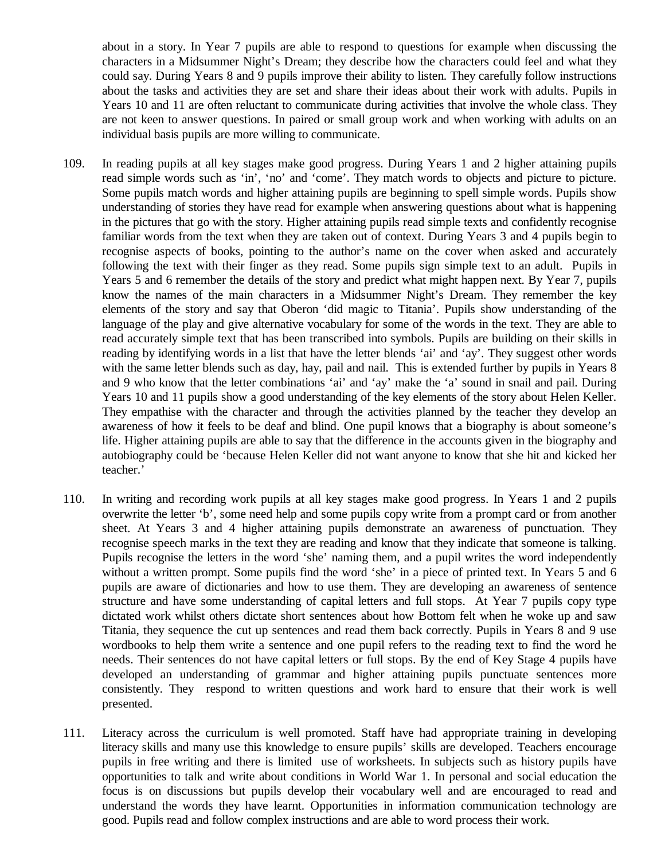about in a story. In Year 7 pupils are able to respond to questions for example when discussing the characters in a Midsummer Night's Dream; they describe how the characters could feel and what they could say. During Years 8 and 9 pupils improve their ability to listen. They carefully follow instructions about the tasks and activities they are set and share their ideas about their work with adults. Pupils in Years 10 and 11 are often reluctant to communicate during activities that involve the whole class. They are not keen to answer questions. In paired or small group work and when working with adults on an individual basis pupils are more willing to communicate.

- 109. In reading pupils at all key stages make good progress. During Years 1 and 2 higher attaining pupils read simple words such as 'in', 'no' and 'come'. They match words to objects and picture to picture. Some pupils match words and higher attaining pupils are beginning to spell simple words. Pupils show understanding of stories they have read for example when answering questions about what is happening in the pictures that go with the story. Higher attaining pupils read simple texts and confidently recognise familiar words from the text when they are taken out of context. During Years 3 and 4 pupils begin to recognise aspects of books, pointing to the author's name on the cover when asked and accurately following the text with their finger as they read. Some pupils sign simple text to an adult. Pupils in Years 5 and 6 remember the details of the story and predict what might happen next. By Year 7, pupils know the names of the main characters in a Midsummer Night's Dream. They remember the key elements of the story and say that Oberon 'did magic to Titania'. Pupils show understanding of the language of the play and give alternative vocabulary for some of the words in the text. They are able to read accurately simple text that has been transcribed into symbols. Pupils are building on their skills in reading by identifying words in a list that have the letter blends 'ai' and 'ay'. They suggest other words with the same letter blends such as day, hay, pail and nail. This is extended further by pupils in Years 8 and 9 who know that the letter combinations 'ai' and 'ay' make the 'a' sound in snail and pail. During Years 10 and 11 pupils show a good understanding of the key elements of the story about Helen Keller. They empathise with the character and through the activities planned by the teacher they develop an awareness of how it feels to be deaf and blind. One pupil knows that a biography is about someone's life. Higher attaining pupils are able to say that the difference in the accounts given in the biography and autobiography could be 'because Helen Keller did not want anyone to know that she hit and kicked her teacher.'
- 110. In writing and recording work pupils at all key stages make good progress. In Years 1 and 2 pupils overwrite the letter 'b', some need help and some pupils copy write from a prompt card or from another sheet. At Years 3 and 4 higher attaining pupils demonstrate an awareness of punctuation. They recognise speech marks in the text they are reading and know that they indicate that someone is talking. Pupils recognise the letters in the word 'she' naming them, and a pupil writes the word independently without a written prompt. Some pupils find the word 'she' in a piece of printed text. In Years 5 and 6 pupils are aware of dictionaries and how to use them. They are developing an awareness of sentence structure and have some understanding of capital letters and full stops. At Year 7 pupils copy type dictated work whilst others dictate short sentences about how Bottom felt when he woke up and saw Titania, they sequence the cut up sentences and read them back correctly. Pupils in Years 8 and 9 use wordbooks to help them write a sentence and one pupil refers to the reading text to find the word he needs. Their sentences do not have capital letters or full stops. By the end of Key Stage 4 pupils have developed an understanding of grammar and higher attaining pupils punctuate sentences more consistently. They respond to written questions and work hard to ensure that their work is well presented.
- 111. Literacy across the curriculum is well promoted. Staff have had appropriate training in developing literacy skills and many use this knowledge to ensure pupils' skills are developed. Teachers encourage pupils in free writing and there is limited use of worksheets. In subjects such as history pupils have opportunities to talk and write about conditions in World War 1. In personal and social education the focus is on discussions but pupils develop their vocabulary well and are encouraged to read and understand the words they have learnt. Opportunities in information communication technology are good. Pupils read and follow complex instructions and are able to word process their work.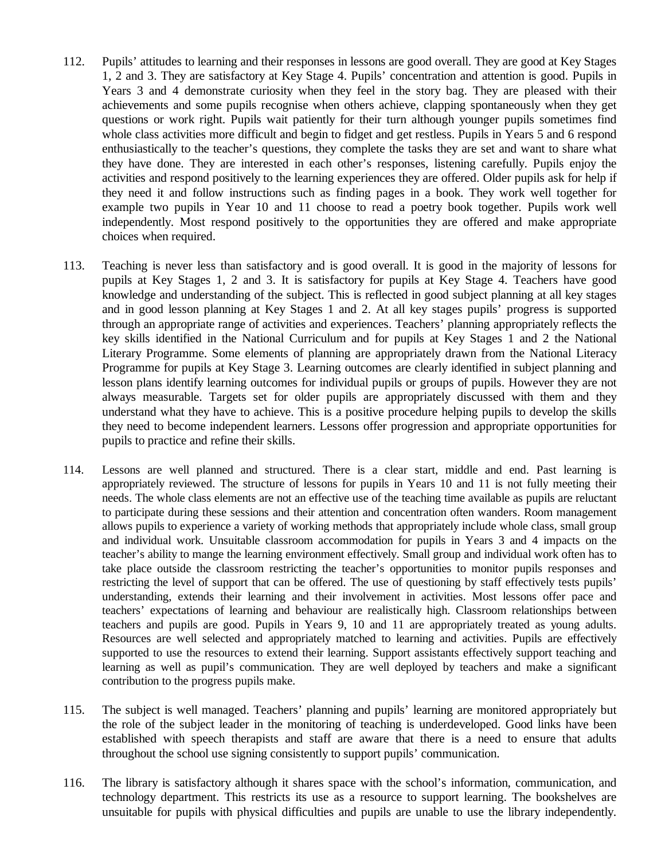- 112. Pupils' attitudes to learning and their responses in lessons are good overall. They are good at Key Stages 1, 2 and 3. They are satisfactory at Key Stage 4. Pupils' concentration and attention is good. Pupils in Years 3 and 4 demonstrate curiosity when they feel in the story bag. They are pleased with their achievements and some pupils recognise when others achieve, clapping spontaneously when they get questions or work right. Pupils wait patiently for their turn although younger pupils sometimes find whole class activities more difficult and begin to fidget and get restless. Pupils in Years 5 and 6 respond enthusiastically to the teacher's questions, they complete the tasks they are set and want to share what they have done. They are interested in each other's responses, listening carefully. Pupils enjoy the activities and respond positively to the learning experiences they are offered. Older pupils ask for help if they need it and follow instructions such as finding pages in a book. They work well together for example two pupils in Year 10 and 11 choose to read a poetry book together. Pupils work well independently. Most respond positively to the opportunities they are offered and make appropriate choices when required.
- 113. Teaching is never less than satisfactory and is good overall. It is good in the majority of lessons for pupils at Key Stages 1, 2 and 3. It is satisfactory for pupils at Key Stage 4. Teachers have good knowledge and understanding of the subject. This is reflected in good subject planning at all key stages and in good lesson planning at Key Stages 1 and 2. At all key stages pupils' progress is supported through an appropriate range of activities and experiences. Teachers' planning appropriately reflects the key skills identified in the National Curriculum and for pupils at Key Stages 1 and 2 the National Literary Programme. Some elements of planning are appropriately drawn from the National Literacy Programme for pupils at Key Stage 3. Learning outcomes are clearly identified in subject planning and lesson plans identify learning outcomes for individual pupils or groups of pupils. However they are not always measurable. Targets set for older pupils are appropriately discussed with them and they understand what they have to achieve. This is a positive procedure helping pupils to develop the skills they need to become independent learners. Lessons offer progression and appropriate opportunities for pupils to practice and refine their skills.
- 114. Lessons are well planned and structured. There is a clear start, middle and end. Past learning is appropriately reviewed. The structure of lessons for pupils in Years 10 and 11 is not fully meeting their needs. The whole class elements are not an effective use of the teaching time available as pupils are reluctant to participate during these sessions and their attention and concentration often wanders. Room management allows pupils to experience a variety of working methods that appropriately include whole class, small group and individual work. Unsuitable classroom accommodation for pupils in Years 3 and 4 impacts on the teacher's ability to mange the learning environment effectively. Small group and individual work often has to take place outside the classroom restricting the teacher's opportunities to monitor pupils responses and restricting the level of support that can be offered. The use of questioning by staff effectively tests pupils' understanding, extends their learning and their involvement in activities. Most lessons offer pace and teachers' expectations of learning and behaviour are realistically high. Classroom relationships between teachers and pupils are good. Pupils in Years 9, 10 and 11 are appropriately treated as young adults. Resources are well selected and appropriately matched to learning and activities. Pupils are effectively supported to use the resources to extend their learning. Support assistants effectively support teaching and learning as well as pupil's communication. They are well deployed by teachers and make a significant contribution to the progress pupils make.
- 115. The subject is well managed. Teachers' planning and pupils' learning are monitored appropriately but the role of the subject leader in the monitoring of teaching is underdeveloped. Good links have been established with speech therapists and staff are aware that there is a need to ensure that adults throughout the school use signing consistently to support pupils' communication.
- 116. The library is satisfactory although it shares space with the school's information, communication, and technology department. This restricts its use as a resource to support learning. The bookshelves are unsuitable for pupils with physical difficulties and pupils are unable to use the library independently.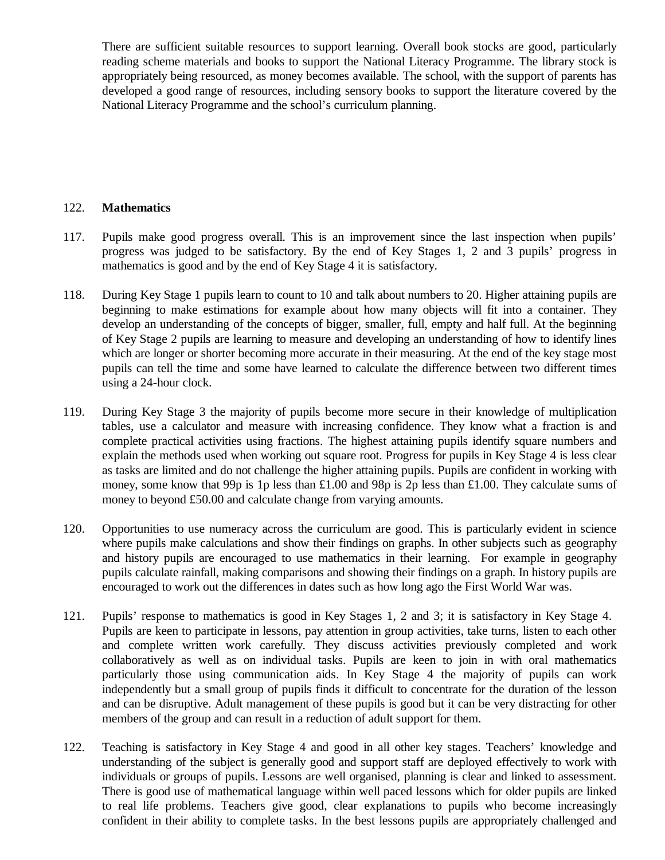There are sufficient suitable resources to support learning. Overall book stocks are good, particularly reading scheme materials and books to support the National Literacy Programme. The library stock is appropriately being resourced, as money becomes available. The school, with the support of parents has developed a good range of resources, including sensory books to support the literature covered by the National Literacy Programme and the school's curriculum planning.

#### 122. **Mathematics**

- 117. Pupils make good progress overall. This is an improvement since the last inspection when pupils' progress was judged to be satisfactory. By the end of Key Stages 1, 2 and 3 pupils' progress in mathematics is good and by the end of Key Stage 4 it is satisfactory.
- 118. During Key Stage 1 pupils learn to count to 10 and talk about numbers to 20. Higher attaining pupils are beginning to make estimations for example about how many objects will fit into a container. They develop an understanding of the concepts of bigger, smaller, full, empty and half full. At the beginning of Key Stage 2 pupils are learning to measure and developing an understanding of how to identify lines which are longer or shorter becoming more accurate in their measuring. At the end of the key stage most pupils can tell the time and some have learned to calculate the difference between two different times using a 24-hour clock.
- 119. During Key Stage 3 the majority of pupils become more secure in their knowledge of multiplication tables, use a calculator and measure with increasing confidence. They know what a fraction is and complete practical activities using fractions. The highest attaining pupils identify square numbers and explain the methods used when working out square root. Progress for pupils in Key Stage 4 is less clear as tasks are limited and do not challenge the higher attaining pupils. Pupils are confident in working with money, some know that 99p is 1p less than  $\pounds$ 1.00 and 98p is 2p less than  $\pounds$ 1.00. They calculate sums of money to beyond £50.00 and calculate change from varying amounts.
- 120. Opportunities to use numeracy across the curriculum are good. This is particularly evident in science where pupils make calculations and show their findings on graphs. In other subjects such as geography and history pupils are encouraged to use mathematics in their learning. For example in geography pupils calculate rainfall, making comparisons and showing their findings on a graph. In history pupils are encouraged to work out the differences in dates such as how long ago the First World War was.
- 121. Pupils' response to mathematics is good in Key Stages 1, 2 and 3; it is satisfactory in Key Stage 4. Pupils are keen to participate in lessons, pay attention in group activities, take turns, listen to each other and complete written work carefully. They discuss activities previously completed and work collaboratively as well as on individual tasks. Pupils are keen to join in with oral mathematics particularly those using communication aids. In Key Stage 4 the majority of pupils can work independently but a small group of pupils finds it difficult to concentrate for the duration of the lesson and can be disruptive. Adult management of these pupils is good but it can be very distracting for other members of the group and can result in a reduction of adult support for them.
- 122. Teaching is satisfactory in Key Stage 4 and good in all other key stages. Teachers' knowledge and understanding of the subject is generally good and support staff are deployed effectively to work with individuals or groups of pupils. Lessons are well organised, planning is clear and linked to assessment. There is good use of mathematical language within well paced lessons which for older pupils are linked to real life problems. Teachers give good, clear explanations to pupils who become increasingly confident in their ability to complete tasks. In the best lessons pupils are appropriately challenged and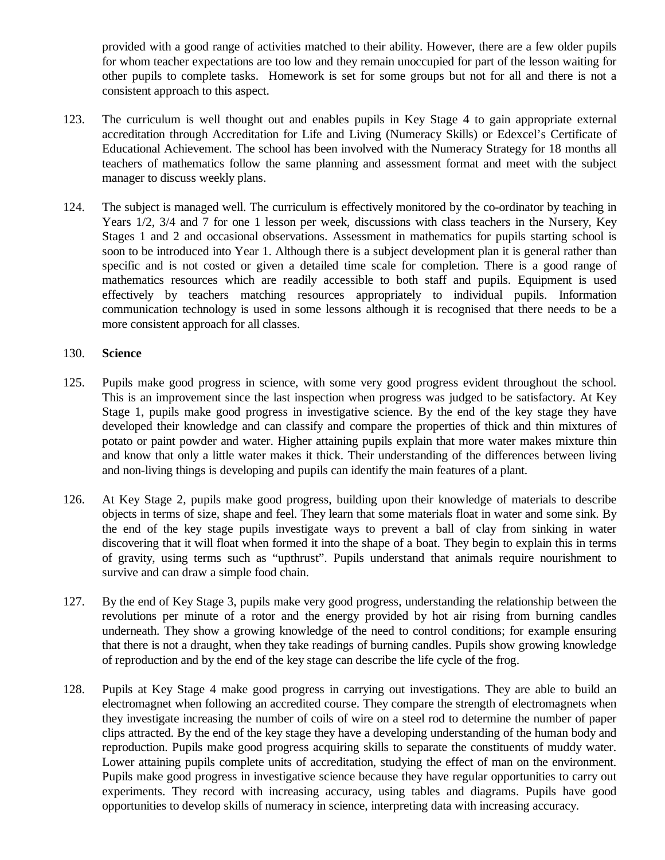provided with a good range of activities matched to their ability. However, there are a few older pupils for whom teacher expectations are too low and they remain unoccupied for part of the lesson waiting for other pupils to complete tasks. Homework is set for some groups but not for all and there is not a consistent approach to this aspect.

- 123. The curriculum is well thought out and enables pupils in Key Stage 4 to gain appropriate external accreditation through Accreditation for Life and Living (Numeracy Skills) or Edexcel's Certificate of Educational Achievement. The school has been involved with the Numeracy Strategy for 18 months all teachers of mathematics follow the same planning and assessment format and meet with the subject manager to discuss weekly plans.
- 124. The subject is managed well. The curriculum is effectively monitored by the co-ordinator by teaching in Years 1/2, 3/4 and 7 for one 1 lesson per week, discussions with class teachers in the Nursery, Key Stages 1 and 2 and occasional observations. Assessment in mathematics for pupils starting school is soon to be introduced into Year 1. Although there is a subject development plan it is general rather than specific and is not costed or given a detailed time scale for completion. There is a good range of mathematics resources which are readily accessible to both staff and pupils. Equipment is used effectively by teachers matching resources appropriately to individual pupils. Information communication technology is used in some lessons although it is recognised that there needs to be a more consistent approach for all classes.

#### 130. **Science**

- 125. Pupils make good progress in science, with some very good progress evident throughout the school. This is an improvement since the last inspection when progress was judged to be satisfactory. At Key Stage 1, pupils make good progress in investigative science. By the end of the key stage they have developed their knowledge and can classify and compare the properties of thick and thin mixtures of potato or paint powder and water. Higher attaining pupils explain that more water makes mixture thin and know that only a little water makes it thick. Their understanding of the differences between living and non-living things is developing and pupils can identify the main features of a plant.
- 126. At Key Stage 2, pupils make good progress, building upon their knowledge of materials to describe objects in terms of size, shape and feel. They learn that some materials float in water and some sink. By the end of the key stage pupils investigate ways to prevent a ball of clay from sinking in water discovering that it will float when formed it into the shape of a boat. They begin to explain this in terms of gravity, using terms such as "upthrust". Pupils understand that animals require nourishment to survive and can draw a simple food chain.
- 127. By the end of Key Stage 3, pupils make very good progress, understanding the relationship between the revolutions per minute of a rotor and the energy provided by hot air rising from burning candles underneath. They show a growing knowledge of the need to control conditions; for example ensuring that there is not a draught, when they take readings of burning candles. Pupils show growing knowledge of reproduction and by the end of the key stage can describe the life cycle of the frog.
- 128. Pupils at Key Stage 4 make good progress in carrying out investigations. They are able to build an electromagnet when following an accredited course. They compare the strength of electromagnets when they investigate increasing the number of coils of wire on a steel rod to determine the number of paper clips attracted. By the end of the key stage they have a developing understanding of the human body and reproduction. Pupils make good progress acquiring skills to separate the constituents of muddy water. Lower attaining pupils complete units of accreditation, studying the effect of man on the environment. Pupils make good progress in investigative science because they have regular opportunities to carry out experiments. They record with increasing accuracy, using tables and diagrams. Pupils have good opportunities to develop skills of numeracy in science, interpreting data with increasing accuracy.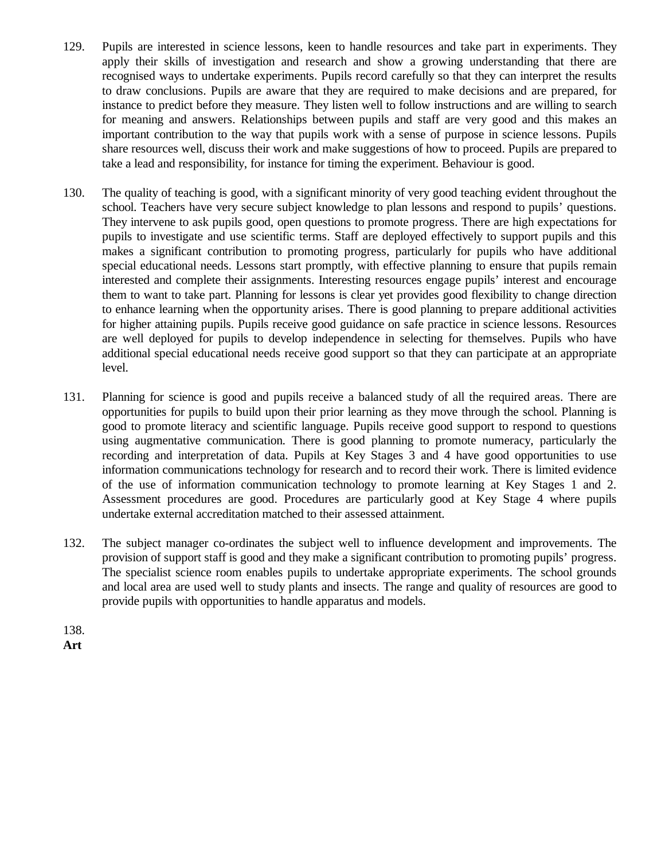- 129. Pupils are interested in science lessons, keen to handle resources and take part in experiments. They apply their skills of investigation and research and show a growing understanding that there are recognised ways to undertake experiments. Pupils record carefully so that they can interpret the results to draw conclusions. Pupils are aware that they are required to make decisions and are prepared, for instance to predict before they measure. They listen well to follow instructions and are willing to search for meaning and answers. Relationships between pupils and staff are very good and this makes an important contribution to the way that pupils work with a sense of purpose in science lessons. Pupils share resources well, discuss their work and make suggestions of how to proceed. Pupils are prepared to take a lead and responsibility, for instance for timing the experiment. Behaviour is good.
- 130. The quality of teaching is good, with a significant minority of very good teaching evident throughout the school. Teachers have very secure subject knowledge to plan lessons and respond to pupils' questions. They intervene to ask pupils good, open questions to promote progress. There are high expectations for pupils to investigate and use scientific terms. Staff are deployed effectively to support pupils and this makes a significant contribution to promoting progress, particularly for pupils who have additional special educational needs. Lessons start promptly, with effective planning to ensure that pupils remain interested and complete their assignments. Interesting resources engage pupils' interest and encourage them to want to take part. Planning for lessons is clear yet provides good flexibility to change direction to enhance learning when the opportunity arises. There is good planning to prepare additional activities for higher attaining pupils. Pupils receive good guidance on safe practice in science lessons. Resources are well deployed for pupils to develop independence in selecting for themselves. Pupils who have additional special educational needs receive good support so that they can participate at an appropriate level.
- 131. Planning for science is good and pupils receive a balanced study of all the required areas. There are opportunities for pupils to build upon their prior learning as they move through the school. Planning is good to promote literacy and scientific language. Pupils receive good support to respond to questions using augmentative communication. There is good planning to promote numeracy, particularly the recording and interpretation of data. Pupils at Key Stages 3 and 4 have good opportunities to use information communications technology for research and to record their work. There is limited evidence of the use of information communication technology to promote learning at Key Stages 1 and 2. Assessment procedures are good. Procedures are particularly good at Key Stage 4 where pupils undertake external accreditation matched to their assessed attainment.
- 132. The subject manager co-ordinates the subject well to influence development and improvements. The provision of support staff is good and they make a significant contribution to promoting pupils' progress. The specialist science room enables pupils to undertake appropriate experiments. The school grounds and local area are used well to study plants and insects. The range and quality of resources are good to provide pupils with opportunities to handle apparatus and models.

138. **Art**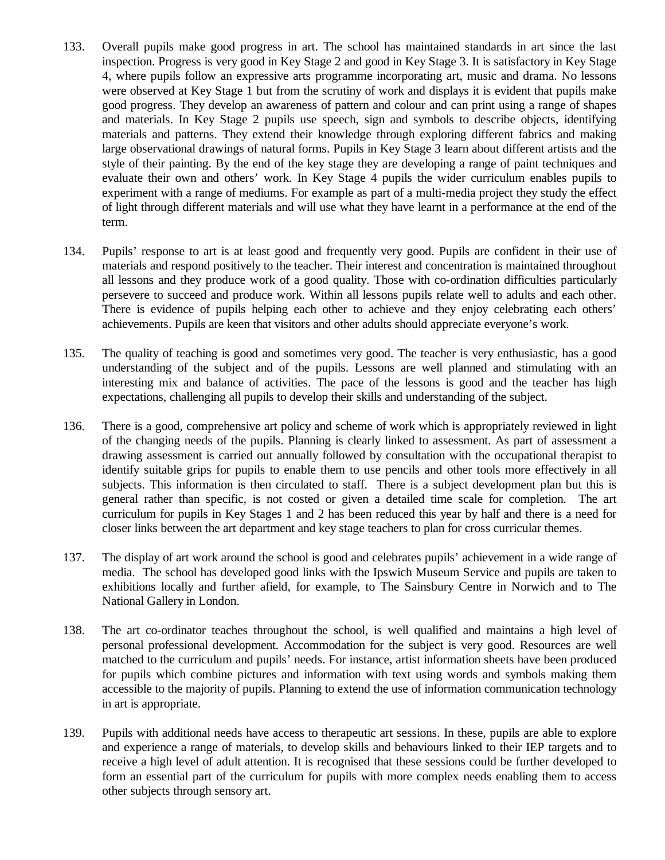- 133. Overall pupils make good progress in art. The school has maintained standards in art since the last inspection. Progress is very good in Key Stage 2 and good in Key Stage 3. It is satisfactory in Key Stage 4, where pupils follow an expressive arts programme incorporating art, music and drama. No lessons were observed at Key Stage 1 but from the scrutiny of work and displays it is evident that pupils make good progress. They develop an awareness of pattern and colour and can print using a range of shapes and materials. In Key Stage 2 pupils use speech, sign and symbols to describe objects, identifying materials and patterns. They extend their knowledge through exploring different fabrics and making large observational drawings of natural forms. Pupils in Key Stage 3 learn about different artists and the style of their painting. By the end of the key stage they are developing a range of paint techniques and evaluate their own and others' work. In Key Stage 4 pupils the wider curriculum enables pupils to experiment with a range of mediums. For example as part of a multi-media project they study the effect of light through different materials and will use what they have learnt in a performance at the end of the term.
- 134. Pupils' response to art is at least good and frequently very good. Pupils are confident in their use of materials and respond positively to the teacher. Their interest and concentration is maintained throughout all lessons and they produce work of a good quality. Those with co-ordination difficulties particularly persevere to succeed and produce work. Within all lessons pupils relate well to adults and each other. There is evidence of pupils helping each other to achieve and they enjoy celebrating each others' achievements. Pupils are keen that visitors and other adults should appreciate everyone's work.
- 135. The quality of teaching is good and sometimes very good. The teacher is very enthusiastic, has a good understanding of the subject and of the pupils. Lessons are well planned and stimulating with an interesting mix and balance of activities. The pace of the lessons is good and the teacher has high expectations, challenging all pupils to develop their skills and understanding of the subject.
- 136. There is a good, comprehensive art policy and scheme of work which is appropriately reviewed in light of the changing needs of the pupils. Planning is clearly linked to assessment. As part of assessment a drawing assessment is carried out annually followed by consultation with the occupational therapist to identify suitable grips for pupils to enable them to use pencils and other tools more effectively in all subjects. This information is then circulated to staff. There is a subject development plan but this is general rather than specific, is not costed or given a detailed time scale for completion. The art curriculum for pupils in Key Stages 1 and 2 has been reduced this year by half and there is a need for closer links between the art department and key stage teachers to plan for cross curricular themes.
- 137. The display of art work around the school is good and celebrates pupils' achievement in a wide range of media. The school has developed good links with the Ipswich Museum Service and pupils are taken to exhibitions locally and further afield, for example, to The Sainsbury Centre in Norwich and to The National Gallery in London.
- 138. The art co-ordinator teaches throughout the school, is well qualified and maintains a high level of personal professional development. Accommodation for the subject is very good. Resources are well matched to the curriculum and pupils' needs. For instance, artist information sheets have been produced for pupils which combine pictures and information with text using words and symbols making them accessible to the majority of pupils. Planning to extend the use of information communication technology in art is appropriate.
- 139. Pupils with additional needs have access to therapeutic art sessions. In these, pupils are able to explore and experience a range of materials, to develop skills and behaviours linked to their IEP targets and to receive a high level of adult attention. It is recognised that these sessions could be further developed to form an essential part of the curriculum for pupils with more complex needs enabling them to access other subjects through sensory art.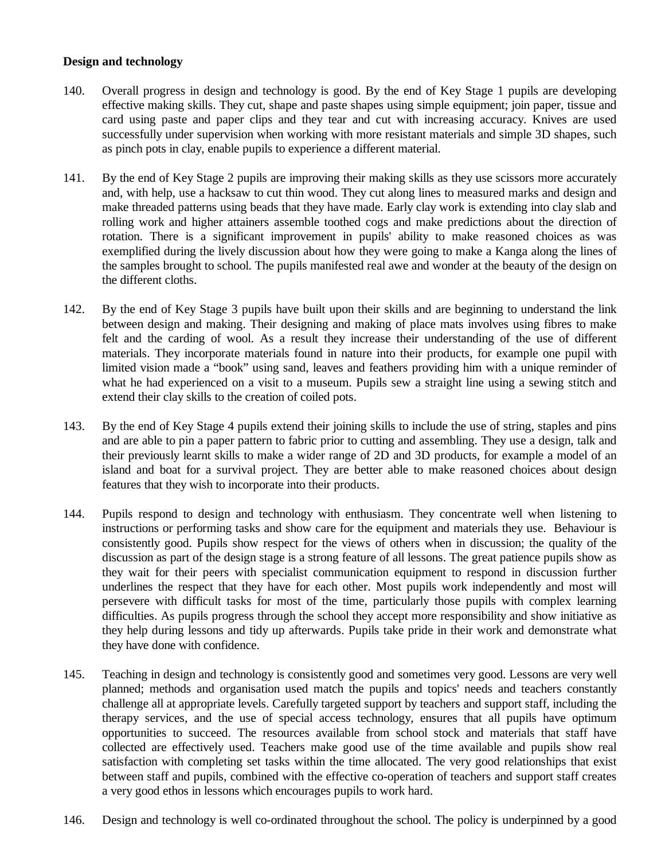#### **Design and technology**

- 140. Overall progress in design and technology is good. By the end of Key Stage 1 pupils are developing effective making skills. They cut, shape and paste shapes using simple equipment; join paper, tissue and card using paste and paper clips and they tear and cut with increasing accuracy. Knives are used successfully under supervision when working with more resistant materials and simple 3D shapes, such as pinch pots in clay, enable pupils to experience a different material.
- 141. By the end of Key Stage 2 pupils are improving their making skills as they use scissors more accurately and, with help, use a hacksaw to cut thin wood. They cut along lines to measured marks and design and make threaded patterns using beads that they have made. Early clay work is extending into clay slab and rolling work and higher attainers assemble toothed cogs and make predictions about the direction of rotation. There is a significant improvement in pupils' ability to make reasoned choices as was exemplified during the lively discussion about how they were going to make a Kanga along the lines of the samples brought to school. The pupils manifested real awe and wonder at the beauty of the design on the different cloths.
- 142. By the end of Key Stage 3 pupils have built upon their skills and are beginning to understand the link between design and making. Their designing and making of place mats involves using fibres to make felt and the carding of wool. As a result they increase their understanding of the use of different materials. They incorporate materials found in nature into their products, for example one pupil with limited vision made a "book" using sand, leaves and feathers providing him with a unique reminder of what he had experienced on a visit to a museum. Pupils sew a straight line using a sewing stitch and extend their clay skills to the creation of coiled pots.
- 143. By the end of Key Stage 4 pupils extend their joining skills to include the use of string, staples and pins and are able to pin a paper pattern to fabric prior to cutting and assembling. They use a design, talk and their previously learnt skills to make a wider range of 2D and 3D products, for example a model of an island and boat for a survival project. They are better able to make reasoned choices about design features that they wish to incorporate into their products.
- 144. Pupils respond to design and technology with enthusiasm. They concentrate well when listening to instructions or performing tasks and show care for the equipment and materials they use. Behaviour is consistently good. Pupils show respect for the views of others when in discussion; the quality of the discussion as part of the design stage is a strong feature of all lessons. The great patience pupils show as they wait for their peers with specialist communication equipment to respond in discussion further underlines the respect that they have for each other. Most pupils work independently and most will persevere with difficult tasks for most of the time, particularly those pupils with complex learning difficulties. As pupils progress through the school they accept more responsibility and show initiative as they help during lessons and tidy up afterwards. Pupils take pride in their work and demonstrate what they have done with confidence.
- 145. Teaching in design and technology is consistently good and sometimes very good. Lessons are very well planned; methods and organisation used match the pupils and topics' needs and teachers constantly challenge all at appropriate levels. Carefully targeted support by teachers and support staff, including the therapy services, and the use of special access technology, ensures that all pupils have optimum opportunities to succeed. The resources available from school stock and materials that staff have collected are effectively used. Teachers make good use of the time available and pupils show real satisfaction with completing set tasks within the time allocated. The very good relationships that exist between staff and pupils, combined with the effective co-operation of teachers and support staff creates a very good ethos in lessons which encourages pupils to work hard.
- 146. Design and technology is well co-ordinated throughout the school. The policy is underpinned by a good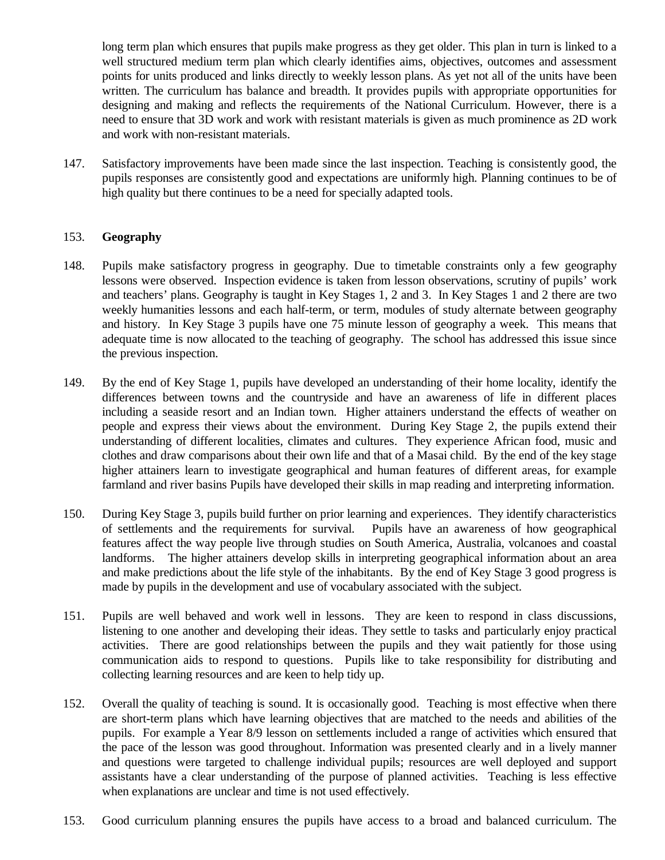long term plan which ensures that pupils make progress as they get older. This plan in turn is linked to a well structured medium term plan which clearly identifies aims, objectives, outcomes and assessment points for units produced and links directly to weekly lesson plans. As yet not all of the units have been written. The curriculum has balance and breadth. It provides pupils with appropriate opportunities for designing and making and reflects the requirements of the National Curriculum. However, there is a need to ensure that 3D work and work with resistant materials is given as much prominence as 2D work and work with non-resistant materials.

147. Satisfactory improvements have been made since the last inspection. Teaching is consistently good, the pupils responses are consistently good and expectations are uniformly high. Planning continues to be of high quality but there continues to be a need for specially adapted tools.

#### 153. **Geography**

- 148. Pupils make satisfactory progress in geography. Due to timetable constraints only a few geography lessons were observed. Inspection evidence is taken from lesson observations, scrutiny of pupils' work and teachers' plans. Geography is taught in Key Stages 1, 2 and 3. In Key Stages 1 and 2 there are two weekly humanities lessons and each half-term, or term, modules of study alternate between geography and history. In Key Stage 3 pupils have one 75 minute lesson of geography a week. This means that adequate time is now allocated to the teaching of geography. The school has addressed this issue since the previous inspection.
- 149. By the end of Key Stage 1, pupils have developed an understanding of their home locality, identify the differences between towns and the countryside and have an awareness of life in different places including a seaside resort and an Indian town. Higher attainers understand the effects of weather on people and express their views about the environment. During Key Stage 2, the pupils extend their understanding of different localities, climates and cultures. They experience African food, music and clothes and draw comparisons about their own life and that of a Masai child. By the end of the key stage higher attainers learn to investigate geographical and human features of different areas, for example farmland and river basins Pupils have developed their skills in map reading and interpreting information.
- 150. During Key Stage 3, pupils build further on prior learning and experiences. They identify characteristics of settlements and the requirements for survival. Pupils have an awareness of how geographical features affect the way people live through studies on South America, Australia, volcanoes and coastal landforms. The higher attainers develop skills in interpreting geographical information about an area and make predictions about the life style of the inhabitants. By the end of Key Stage 3 good progress is made by pupils in the development and use of vocabulary associated with the subject.
- 151. Pupils are well behaved and work well in lessons. They are keen to respond in class discussions, listening to one another and developing their ideas. They settle to tasks and particularly enjoy practical activities. There are good relationships between the pupils and they wait patiently for those using communication aids to respond to questions. Pupils like to take responsibility for distributing and collecting learning resources and are keen to help tidy up.
- 152. Overall the quality of teaching is sound. It is occasionally good. Teaching is most effective when there are short-term plans which have learning objectives that are matched to the needs and abilities of the pupils. For example a Year 8/9 lesson on settlements included a range of activities which ensured that the pace of the lesson was good throughout. Information was presented clearly and in a lively manner and questions were targeted to challenge individual pupils; resources are well deployed and support assistants have a clear understanding of the purpose of planned activities. Teaching is less effective when explanations are unclear and time is not used effectively.
- 153. Good curriculum planning ensures the pupils have access to a broad and balanced curriculum. The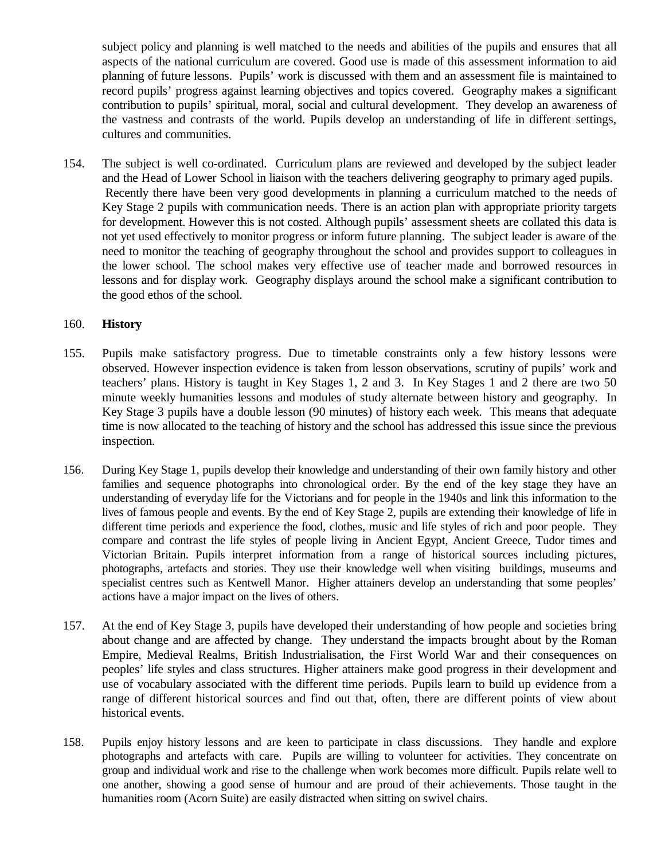subject policy and planning is well matched to the needs and abilities of the pupils and ensures that all aspects of the national curriculum are covered. Good use is made of this assessment information to aid planning of future lessons. Pupils' work is discussed with them and an assessment file is maintained to record pupils' progress against learning objectives and topics covered. Geography makes a significant contribution to pupils' spiritual, moral, social and cultural development. They develop an awareness of the vastness and contrasts of the world. Pupils develop an understanding of life in different settings, cultures and communities.

154. The subject is well co-ordinated. Curriculum plans are reviewed and developed by the subject leader and the Head of Lower School in liaison with the teachers delivering geography to primary aged pupils. Recently there have been very good developments in planning a curriculum matched to the needs of Key Stage 2 pupils with communication needs. There is an action plan with appropriate priority targets for development. However this is not costed. Although pupils' assessment sheets are collated this data is not yet used effectively to monitor progress or inform future planning. The subject leader is aware of the need to monitor the teaching of geography throughout the school and provides support to colleagues in the lower school. The school makes very effective use of teacher made and borrowed resources in lessons and for display work. Geography displays around the school make a significant contribution to the good ethos of the school.

#### 160. **History**

- 155. Pupils make satisfactory progress. Due to timetable constraints only a few history lessons were observed. However inspection evidence is taken from lesson observations, scrutiny of pupils' work and teachers' plans. History is taught in Key Stages 1, 2 and 3. In Key Stages 1 and 2 there are two 50 minute weekly humanities lessons and modules of study alternate between history and geography. In Key Stage 3 pupils have a double lesson (90 minutes) of history each week. This means that adequate time is now allocated to the teaching of history and the school has addressed this issue since the previous inspection.
- 156. During Key Stage 1, pupils develop their knowledge and understanding of their own family history and other families and sequence photographs into chronological order. By the end of the key stage they have an understanding of everyday life for the Victorians and for people in the 1940s and link this information to the lives of famous people and events. By the end of Key Stage 2, pupils are extending their knowledge of life in different time periods and experience the food, clothes, music and life styles of rich and poor people. They compare and contrast the life styles of people living in Ancient Egypt, Ancient Greece, Tudor times and Victorian Britain. Pupils interpret information from a range of historical sources including pictures, photographs, artefacts and stories. They use their knowledge well when visiting buildings, museums and specialist centres such as Kentwell Manor. Higher attainers develop an understanding that some peoples' actions have a major impact on the lives of others.
- 157. At the end of Key Stage 3, pupils have developed their understanding of how people and societies bring about change and are affected by change. They understand the impacts brought about by the Roman Empire, Medieval Realms, British Industrialisation, the First World War and their consequences on peoples' life styles and class structures. Higher attainers make good progress in their development and use of vocabulary associated with the different time periods. Pupils learn to build up evidence from a range of different historical sources and find out that, often, there are different points of view about historical events.
- 158. Pupils enjoy history lessons and are keen to participate in class discussions. They handle and explore photographs and artefacts with care. Pupils are willing to volunteer for activities. They concentrate on group and individual work and rise to the challenge when work becomes more difficult. Pupils relate well to one another, showing a good sense of humour and are proud of their achievements. Those taught in the humanities room (Acorn Suite) are easily distracted when sitting on swivel chairs.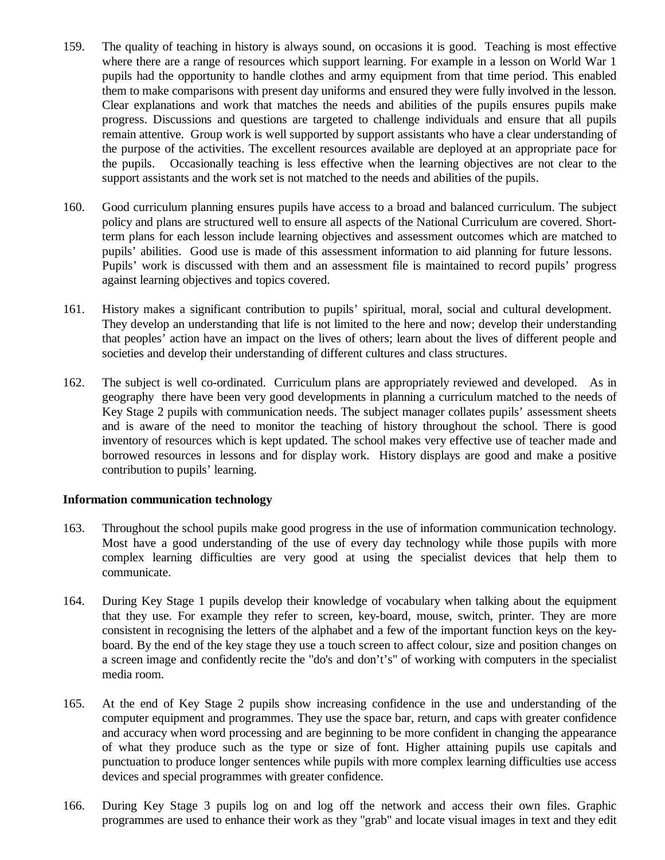- 159. The quality of teaching in history is always sound, on occasions it is good. Teaching is most effective where there are a range of resources which support learning. For example in a lesson on World War 1 pupils had the opportunity to handle clothes and army equipment from that time period. This enabled them to make comparisons with present day uniforms and ensured they were fully involved in the lesson. Clear explanations and work that matches the needs and abilities of the pupils ensures pupils make progress. Discussions and questions are targeted to challenge individuals and ensure that all pupils remain attentive. Group work is well supported by support assistants who have a clear understanding of the purpose of the activities. The excellent resources available are deployed at an appropriate pace for the pupils. Occasionally teaching is less effective when the learning objectives are not clear to the support assistants and the work set is not matched to the needs and abilities of the pupils.
- 160. Good curriculum planning ensures pupils have access to a broad and balanced curriculum. The subject policy and plans are structured well to ensure all aspects of the National Curriculum are covered. Shortterm plans for each lesson include learning objectives and assessment outcomes which are matched to pupils' abilities. Good use is made of this assessment information to aid planning for future lessons. Pupils' work is discussed with them and an assessment file is maintained to record pupils' progress against learning objectives and topics covered.
- 161. History makes a significant contribution to pupils' spiritual, moral, social and cultural development. They develop an understanding that life is not limited to the here and now; develop their understanding that peoples' action have an impact on the lives of others; learn about the lives of different people and societies and develop their understanding of different cultures and class structures.
- 162. The subject is well co-ordinated. Curriculum plans are appropriately reviewed and developed. As in geography there have been very good developments in planning a curriculum matched to the needs of Key Stage 2 pupils with communication needs. The subject manager collates pupils' assessment sheets and is aware of the need to monitor the teaching of history throughout the school. There is good inventory of resources which is kept updated. The school makes very effective use of teacher made and borrowed resources in lessons and for display work. History displays are good and make a positive contribution to pupils' learning.

#### **Information communication technology**

- 163. Throughout the school pupils make good progress in the use of information communication technology. Most have a good understanding of the use of every day technology while those pupils with more complex learning difficulties are very good at using the specialist devices that help them to communicate.
- 164. During Key Stage 1 pupils develop their knowledge of vocabulary when talking about the equipment that they use. For example they refer to screen, key-board, mouse, switch, printer. They are more consistent in recognising the letters of the alphabet and a few of the important function keys on the keyboard. By the end of the key stage they use a touch screen to affect colour, size and position changes on a screen image and confidently recite the "do's and don't's" of working with computers in the specialist media room.
- 165. At the end of Key Stage 2 pupils show increasing confidence in the use and understanding of the computer equipment and programmes. They use the space bar, return, and caps with greater confidence and accuracy when word processing and are beginning to be more confident in changing the appearance of what they produce such as the type or size of font. Higher attaining pupils use capitals and punctuation to produce longer sentences while pupils with more complex learning difficulties use access devices and special programmes with greater confidence.
- 166. During Key Stage 3 pupils log on and log off the network and access their own files. Graphic programmes are used to enhance their work as they "grab" and locate visual images in text and they edit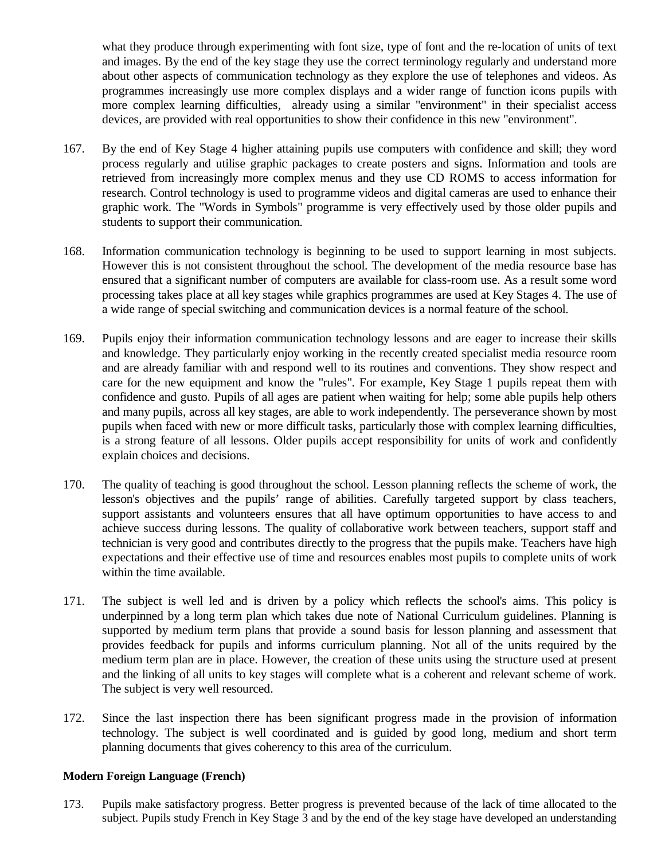what they produce through experimenting with font size, type of font and the re-location of units of text and images. By the end of the key stage they use the correct terminology regularly and understand more about other aspects of communication technology as they explore the use of telephones and videos. As programmes increasingly use more complex displays and a wider range of function icons pupils with more complex learning difficulties, already using a similar "environment" in their specialist access devices, are provided with real opportunities to show their confidence in this new "environment".

- 167. By the end of Key Stage 4 higher attaining pupils use computers with confidence and skill; they word process regularly and utilise graphic packages to create posters and signs. Information and tools are retrieved from increasingly more complex menus and they use CD ROMS to access information for research. Control technology is used to programme videos and digital cameras are used to enhance their graphic work. The "Words in Symbols" programme is very effectively used by those older pupils and students to support their communication.
- 168. Information communication technology is beginning to be used to support learning in most subjects. However this is not consistent throughout the school. The development of the media resource base has ensured that a significant number of computers are available for class-room use. As a result some word processing takes place at all key stages while graphics programmes are used at Key Stages 4. The use of a wide range of special switching and communication devices is a normal feature of the school.
- 169. Pupils enjoy their information communication technology lessons and are eager to increase their skills and knowledge. They particularly enjoy working in the recently created specialist media resource room and are already familiar with and respond well to its routines and conventions. They show respect and care for the new equipment and know the "rules". For example, Key Stage 1 pupils repeat them with confidence and gusto. Pupils of all ages are patient when waiting for help; some able pupils help others and many pupils, across all key stages, are able to work independently. The perseverance shown by most pupils when faced with new or more difficult tasks, particularly those with complex learning difficulties, is a strong feature of all lessons. Older pupils accept responsibility for units of work and confidently explain choices and decisions.
- 170. The quality of teaching is good throughout the school. Lesson planning reflects the scheme of work, the lesson's objectives and the pupils' range of abilities. Carefully targeted support by class teachers, support assistants and volunteers ensures that all have optimum opportunities to have access to and achieve success during lessons. The quality of collaborative work between teachers, support staff and technician is very good and contributes directly to the progress that the pupils make. Teachers have high expectations and their effective use of time and resources enables most pupils to complete units of work within the time available.
- 171. The subject is well led and is driven by a policy which reflects the school's aims. This policy is underpinned by a long term plan which takes due note of National Curriculum guidelines. Planning is supported by medium term plans that provide a sound basis for lesson planning and assessment that provides feedback for pupils and informs curriculum planning. Not all of the units required by the medium term plan are in place. However, the creation of these units using the structure used at present and the linking of all units to key stages will complete what is a coherent and relevant scheme of work. The subject is very well resourced.
- 172. Since the last inspection there has been significant progress made in the provision of information technology. The subject is well coordinated and is guided by good long, medium and short term planning documents that gives coherency to this area of the curriculum.

#### **Modern Foreign Language (French)**

173. Pupils make satisfactory progress. Better progress is prevented because of the lack of time allocated to the subject. Pupils study French in Key Stage 3 and by the end of the key stage have developed an understanding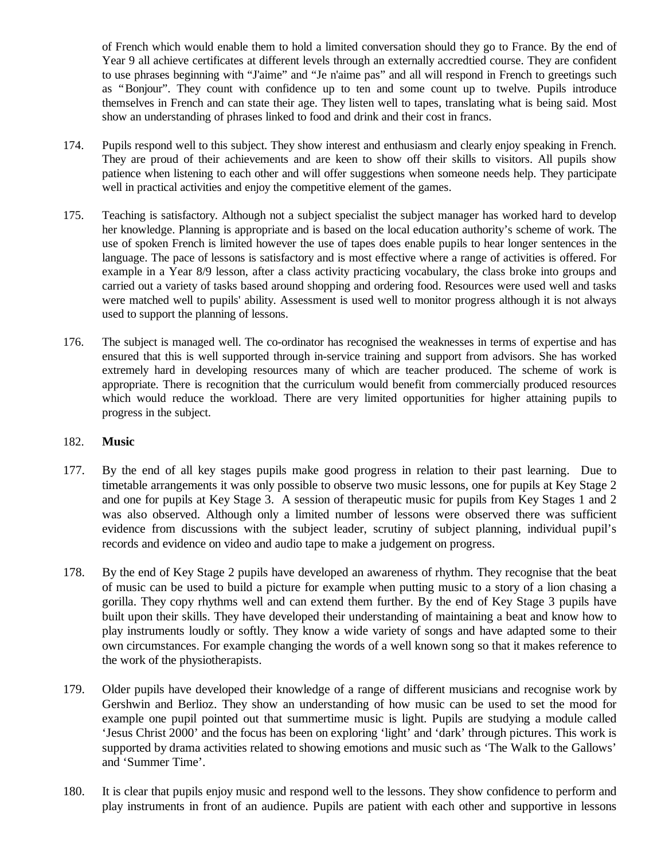of French which would enable them to hold a limited conversation should they go to France. By the end of Year 9 all achieve certificates at different levels through an externally accredtied course. They are confident to use phrases beginning with "J'aime" and "Je n'aime pas" and all will respond in French to greetings such as "Bonjour". They count with confidence up to ten and some count up to twelve. Pupils introduce themselves in French and can state their age. They listen well to tapes, translating what is being said. Most show an understanding of phrases linked to food and drink and their cost in francs.

- 174. Pupils respond well to this subject. They show interest and enthusiasm and clearly enjoy speaking in French. They are proud of their achievements and are keen to show off their skills to visitors. All pupils show patience when listening to each other and will offer suggestions when someone needs help. They participate well in practical activities and enjoy the competitive element of the games.
- 175. Teaching is satisfactory. Although not a subject specialist the subject manager has worked hard to develop her knowledge. Planning is appropriate and is based on the local education authority's scheme of work. The use of spoken French is limited however the use of tapes does enable pupils to hear longer sentences in the language. The pace of lessons is satisfactory and is most effective where a range of activities is offered. For example in a Year 8/9 lesson, after a class activity practicing vocabulary, the class broke into groups and carried out a variety of tasks based around shopping and ordering food. Resources were used well and tasks were matched well to pupils' ability. Assessment is used well to monitor progress although it is not always used to support the planning of lessons.
- 176. The subject is managed well. The co-ordinator has recognised the weaknesses in terms of expertise and has ensured that this is well supported through in-service training and support from advisors. She has worked extremely hard in developing resources many of which are teacher produced. The scheme of work is appropriate. There is recognition that the curriculum would benefit from commercially produced resources which would reduce the workload. There are very limited opportunities for higher attaining pupils to progress in the subject.

#### 182. **Music**

- 177. By the end of all key stages pupils make good progress in relation to their past learning. Due to timetable arrangements it was only possible to observe two music lessons, one for pupils at Key Stage 2 and one for pupils at Key Stage 3. A session of therapeutic music for pupils from Key Stages 1 and 2 was also observed. Although only a limited number of lessons were observed there was sufficient evidence from discussions with the subject leader, scrutiny of subject planning, individual pupil's records and evidence on video and audio tape to make a judgement on progress.
- 178. By the end of Key Stage 2 pupils have developed an awareness of rhythm. They recognise that the beat of music can be used to build a picture for example when putting music to a story of a lion chasing a gorilla. They copy rhythms well and can extend them further. By the end of Key Stage 3 pupils have built upon their skills. They have developed their understanding of maintaining a beat and know how to play instruments loudly or softly. They know a wide variety of songs and have adapted some to their own circumstances. For example changing the words of a well known song so that it makes reference to the work of the physiotherapists.
- 179. Older pupils have developed their knowledge of a range of different musicians and recognise work by Gershwin and Berlioz. They show an understanding of how music can be used to set the mood for example one pupil pointed out that summertime music is light. Pupils are studying a module called 'Jesus Christ 2000' and the focus has been on exploring 'light' and 'dark' through pictures. This work is supported by drama activities related to showing emotions and music such as 'The Walk to the Gallows' and 'Summer Time'.
- 180. It is clear that pupils enjoy music and respond well to the lessons. They show confidence to perform and play instruments in front of an audience. Pupils are patient with each other and supportive in lessons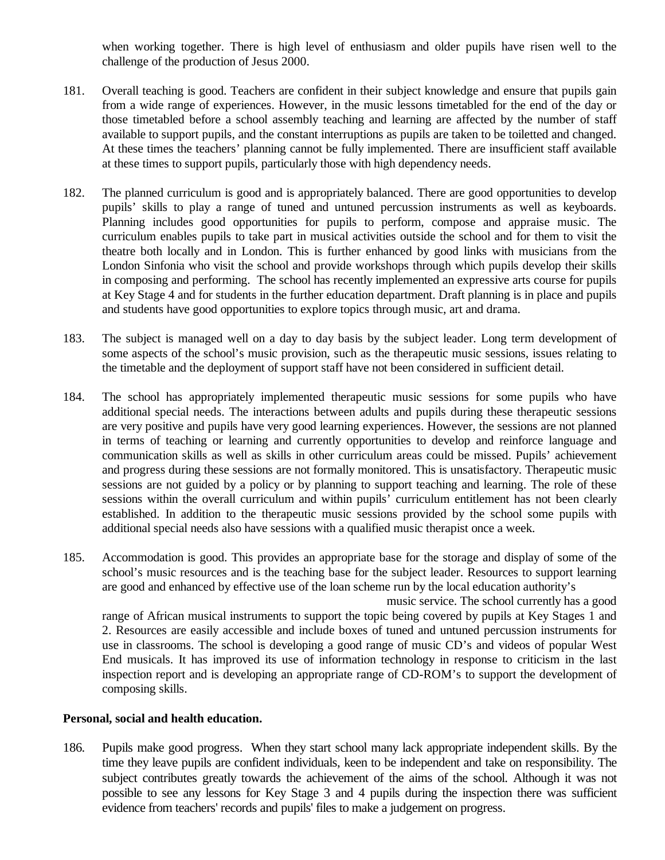when working together. There is high level of enthusiasm and older pupils have risen well to the challenge of the production of Jesus 2000.

- 181. Overall teaching is good. Teachers are confident in their subject knowledge and ensure that pupils gain from a wide range of experiences. However, in the music lessons timetabled for the end of the day or those timetabled before a school assembly teaching and learning are affected by the number of staff available to support pupils, and the constant interruptions as pupils are taken to be toiletted and changed. At these times the teachers' planning cannot be fully implemented. There are insufficient staff available at these times to support pupils, particularly those with high dependency needs.
- 182. The planned curriculum is good and is appropriately balanced. There are good opportunities to develop pupils' skills to play a range of tuned and untuned percussion instruments as well as keyboards. Planning includes good opportunities for pupils to perform, compose and appraise music. The curriculum enables pupils to take part in musical activities outside the school and for them to visit the theatre both locally and in London. This is further enhanced by good links with musicians from the London Sinfonia who visit the school and provide workshops through which pupils develop their skills in composing and performing. The school has recently implemented an expressive arts course for pupils at Key Stage 4 and for students in the further education department. Draft planning is in place and pupils and students have good opportunities to explore topics through music, art and drama.
- 183. The subject is managed well on a day to day basis by the subject leader. Long term development of some aspects of the school's music provision, such as the therapeutic music sessions, issues relating to the timetable and the deployment of support staff have not been considered in sufficient detail.
- 184. The school has appropriately implemented therapeutic music sessions for some pupils who have additional special needs. The interactions between adults and pupils during these therapeutic sessions are very positive and pupils have very good learning experiences. However, the sessions are not planned in terms of teaching or learning and currently opportunities to develop and reinforce language and communication skills as well as skills in other curriculum areas could be missed. Pupils' achievement and progress during these sessions are not formally monitored. This is unsatisfactory. Therapeutic music sessions are not guided by a policy or by planning to support teaching and learning. The role of these sessions within the overall curriculum and within pupils' curriculum entitlement has not been clearly established. In addition to the therapeutic music sessions provided by the school some pupils with additional special needs also have sessions with a qualified music therapist once a week.
- 185. Accommodation is good. This provides an appropriate base for the storage and display of some of the school's music resources and is the teaching base for the subject leader. Resources to support learning are good and enhanced by effective use of the loan scheme run by the local education authority's

 music service. The school currently has a good range of African musical instruments to support the topic being covered by pupils at Key Stages 1 and 2. Resources are easily accessible and include boxes of tuned and untuned percussion instruments for use in classrooms. The school is developing a good range of music CD's and videos of popular West End musicals. It has improved its use of information technology in response to criticism in the last inspection report and is developing an appropriate range of CD-ROM's to support the development of composing skills.

#### **Personal, social and health education.**

186. Pupils make good progress. When they start school many lack appropriate independent skills. By the time they leave pupils are confident individuals, keen to be independent and take on responsibility. The subject contributes greatly towards the achievement of the aims of the school. Although it was not possible to see any lessons for Key Stage 3 and 4 pupils during the inspection there was sufficient evidence from teachers' records and pupils' files to make a judgement on progress.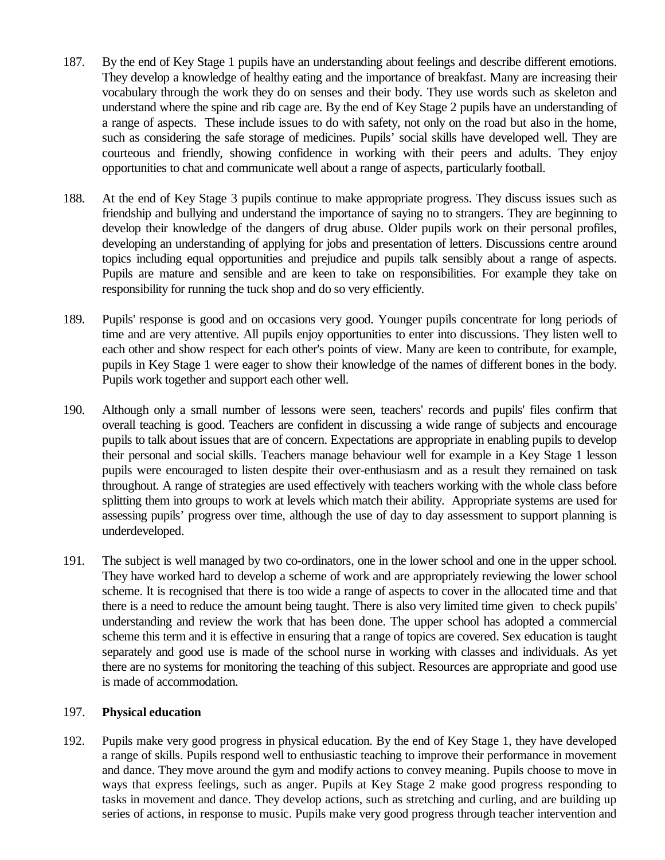- 187. By the end of Key Stage 1 pupils have an understanding about feelings and describe different emotions. They develop a knowledge of healthy eating and the importance of breakfast. Many are increasing their vocabulary through the work they do on senses and their body. They use words such as skeleton and understand where the spine and rib cage are. By the end of Key Stage 2 pupils have an understanding of a range of aspects. These include issues to do with safety, not only on the road but also in the home, such as considering the safe storage of medicines. Pupils' social skills have developed well. They are courteous and friendly, showing confidence in working with their peers and adults. They enjoy opportunities to chat and communicate well about a range of aspects, particularly football.
- 188. At the end of Key Stage 3 pupils continue to make appropriate progress. They discuss issues such as friendship and bullying and understand the importance of saying no to strangers. They are beginning to develop their knowledge of the dangers of drug abuse. Older pupils work on their personal profiles, developing an understanding of applying for jobs and presentation of letters. Discussions centre around topics including equal opportunities and prejudice and pupils talk sensibly about a range of aspects. Pupils are mature and sensible and are keen to take on responsibilities. For example they take on responsibility for running the tuck shop and do so very efficiently.
- 189. Pupils' response is good and on occasions very good. Younger pupils concentrate for long periods of time and are very attentive. All pupils enjoy opportunities to enter into discussions. They listen well to each other and show respect for each other's points of view. Many are keen to contribute, for example, pupils in Key Stage 1 were eager to show their knowledge of the names of different bones in the body. Pupils work together and support each other well.
- 190. Although only a small number of lessons were seen, teachers' records and pupils' files confirm that overall teaching is good. Teachers are confident in discussing a wide range of subjects and encourage pupils to talk about issues that are of concern. Expectations are appropriate in enabling pupils to develop their personal and social skills. Teachers manage behaviour well for example in a Key Stage 1 lesson pupils were encouraged to listen despite their over-enthusiasm and as a result they remained on task throughout. A range of strategies are used effectively with teachers working with the whole class before splitting them into groups to work at levels which match their ability. Appropriate systems are used for assessing pupils' progress over time, although the use of day to day assessment to support planning is underdeveloped.
- 191. The subject is well managed by two co-ordinators, one in the lower school and one in the upper school. They have worked hard to develop a scheme of work and are appropriately reviewing the lower school scheme. It is recognised that there is too wide a range of aspects to cover in the allocated time and that there is a need to reduce the amount being taught. There is also very limited time given to check pupils' understanding and review the work that has been done. The upper school has adopted a commercial scheme this term and it is effective in ensuring that a range of topics are covered. Sex education is taught separately and good use is made of the school nurse in working with classes and individuals. As yet there are no systems for monitoring the teaching of this subject. Resources are appropriate and good use is made of accommodation.

## 197. **Physical education**

192. Pupils make very good progress in physical education. By the end of Key Stage 1, they have developed a range of skills. Pupils respond well to enthusiastic teaching to improve their performance in movement and dance. They move around the gym and modify actions to convey meaning. Pupils choose to move in ways that express feelings, such as anger. Pupils at Key Stage 2 make good progress responding to tasks in movement and dance. They develop actions, such as stretching and curling, and are building up series of actions, in response to music. Pupils make very good progress through teacher intervention and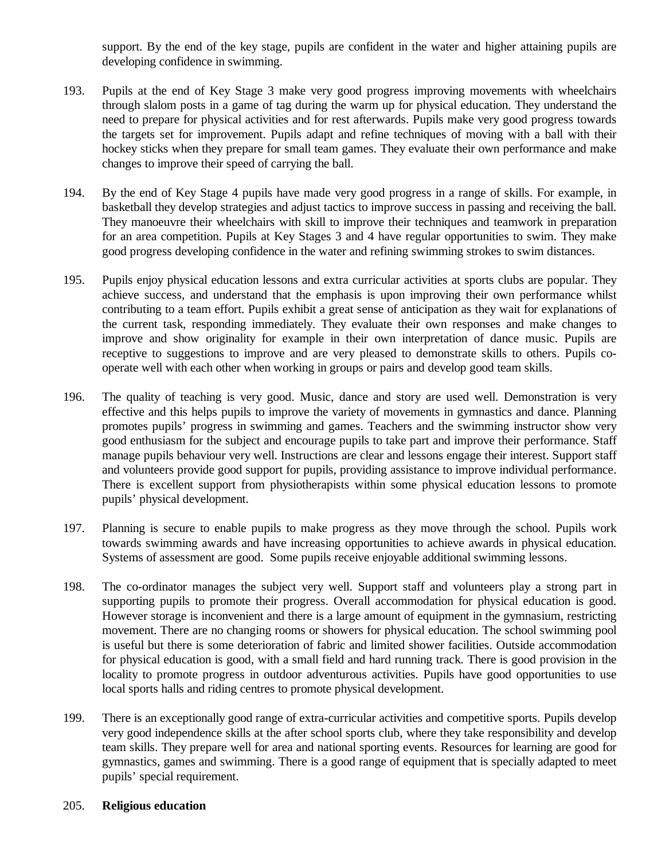support. By the end of the key stage, pupils are confident in the water and higher attaining pupils are developing confidence in swimming.

- 193. Pupils at the end of Key Stage 3 make very good progress improving movements with wheelchairs through slalom posts in a game of tag during the warm up for physical education. They understand the need to prepare for physical activities and for rest afterwards. Pupils make very good progress towards the targets set for improvement. Pupils adapt and refine techniques of moving with a ball with their hockey sticks when they prepare for small team games. They evaluate their own performance and make changes to improve their speed of carrying the ball.
- 194. By the end of Key Stage 4 pupils have made very good progress in a range of skills. For example, in basketball they develop strategies and adjust tactics to improve success in passing and receiving the ball. They manoeuvre their wheelchairs with skill to improve their techniques and teamwork in preparation for an area competition. Pupils at Key Stages 3 and 4 have regular opportunities to swim. They make good progress developing confidence in the water and refining swimming strokes to swim distances.
- 195. Pupils enjoy physical education lessons and extra curricular activities at sports clubs are popular. They achieve success, and understand that the emphasis is upon improving their own performance whilst contributing to a team effort. Pupils exhibit a great sense of anticipation as they wait for explanations of the current task, responding immediately. They evaluate their own responses and make changes to improve and show originality for example in their own interpretation of dance music. Pupils are receptive to suggestions to improve and are very pleased to demonstrate skills to others. Pupils cooperate well with each other when working in groups or pairs and develop good team skills.
- 196. The quality of teaching is very good. Music, dance and story are used well. Demonstration is very effective and this helps pupils to improve the variety of movements in gymnastics and dance. Planning promotes pupils' progress in swimming and games. Teachers and the swimming instructor show very good enthusiasm for the subject and encourage pupils to take part and improve their performance. Staff manage pupils behaviour very well. Instructions are clear and lessons engage their interest. Support staff and volunteers provide good support for pupils, providing assistance to improve individual performance. There is excellent support from physiotherapists within some physical education lessons to promote pupils' physical development.
- 197. Planning is secure to enable pupils to make progress as they move through the school. Pupils work towards swimming awards and have increasing opportunities to achieve awards in physical education. Systems of assessment are good. Some pupils receive enjoyable additional swimming lessons.
- 198. The co-ordinator manages the subject very well. Support staff and volunteers play a strong part in supporting pupils to promote their progress. Overall accommodation for physical education is good. However storage is inconvenient and there is a large amount of equipment in the gymnasium, restricting movement. There are no changing rooms or showers for physical education. The school swimming pool is useful but there is some deterioration of fabric and limited shower facilities. Outside accommodation for physical education is good, with a small field and hard running track. There is good provision in the locality to promote progress in outdoor adventurous activities. Pupils have good opportunities to use local sports halls and riding centres to promote physical development.
- 199. There is an exceptionally good range of extra-curricular activities and competitive sports. Pupils develop very good independence skills at the after school sports club, where they take responsibility and develop team skills. They prepare well for area and national sporting events. Resources for learning are good for gymnastics, games and swimming. There is a good range of equipment that is specially adapted to meet pupils' special requirement.

#### 205. **Religious education**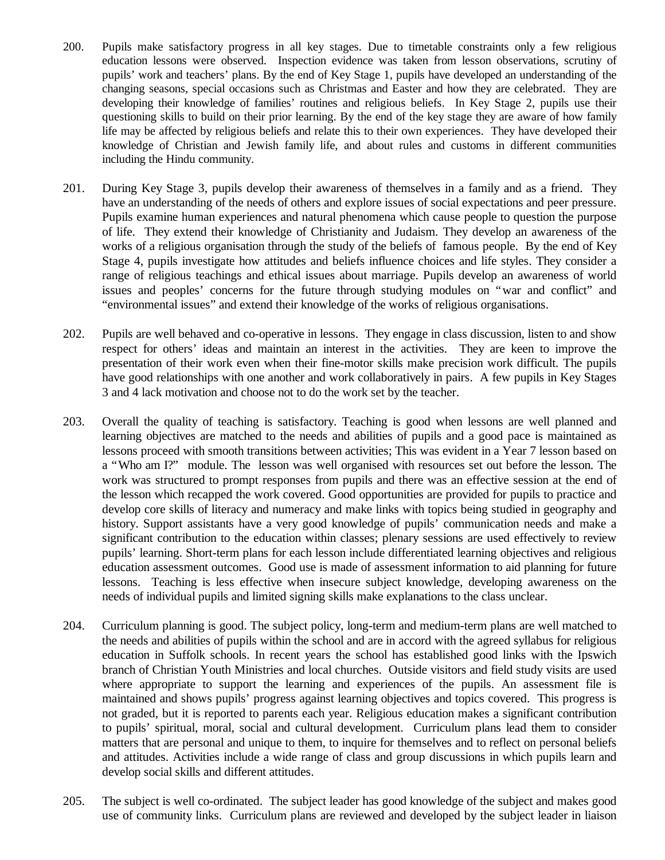- 200. Pupils make satisfactory progress in all key stages. Due to timetable constraints only a few religious education lessons were observed. Inspection evidence was taken from lesson observations, scrutiny of pupils' work and teachers' plans. By the end of Key Stage 1, pupils have developed an understanding of the changing seasons, special occasions such as Christmas and Easter and how they are celebrated. They are developing their knowledge of families' routines and religious beliefs. In Key Stage 2, pupils use their questioning skills to build on their prior learning. By the end of the key stage they are aware of how family life may be affected by religious beliefs and relate this to their own experiences. They have developed their knowledge of Christian and Jewish family life, and about rules and customs in different communities including the Hindu community.
- 201. During Key Stage 3, pupils develop their awareness of themselves in a family and as a friend. They have an understanding of the needs of others and explore issues of social expectations and peer pressure. Pupils examine human experiences and natural phenomena which cause people to question the purpose of life. They extend their knowledge of Christianity and Judaism. They develop an awareness of the works of a religious organisation through the study of the beliefs of famous people. By the end of Key Stage 4, pupils investigate how attitudes and beliefs influence choices and life styles. They consider a range of religious teachings and ethical issues about marriage. Pupils develop an awareness of world issues and peoples' concerns for the future through studying modules on "war and conflict" and "environmental issues" and extend their knowledge of the works of religious organisations.
- 202. Pupils are well behaved and co-operative in lessons. They engage in class discussion, listen to and show respect for others' ideas and maintain an interest in the activities. They are keen to improve the presentation of their work even when their fine-motor skills make precision work difficult. The pupils have good relationships with one another and work collaboratively in pairs. A few pupils in Key Stages 3 and 4 lack motivation and choose not to do the work set by the teacher.
- 203. Overall the quality of teaching is satisfactory. Teaching is good when lessons are well planned and learning objectives are matched to the needs and abilities of pupils and a good pace is maintained as lessons proceed with smooth transitions between activities; This was evident in a Year 7 lesson based on a "Who am I?" module. The lesson was well organised with resources set out before the lesson. The work was structured to prompt responses from pupils and there was an effective session at the end of the lesson which recapped the work covered. Good opportunities are provided for pupils to practice and develop core skills of literacy and numeracy and make links with topics being studied in geography and history. Support assistants have a very good knowledge of pupils' communication needs and make a significant contribution to the education within classes; plenary sessions are used effectively to review pupils' learning. Short-term plans for each lesson include differentiated learning objectives and religious education assessment outcomes. Good use is made of assessment information to aid planning for future lessons. Teaching is less effective when insecure subject knowledge, developing awareness on the needs of individual pupils and limited signing skills make explanations to the class unclear.
- 204. Curriculum planning is good. The subject policy, long-term and medium-term plans are well matched to the needs and abilities of pupils within the school and are in accord with the agreed syllabus for religious education in Suffolk schools. In recent years the school has established good links with the Ipswich branch of Christian Youth Ministries and local churches. Outside visitors and field study visits are used where appropriate to support the learning and experiences of the pupils. An assessment file is maintained and shows pupils' progress against learning objectives and topics covered. This progress is not graded, but it is reported to parents each year. Religious education makes a significant contribution to pupils' spiritual, moral, social and cultural development. Curriculum plans lead them to consider matters that are personal and unique to them, to inquire for themselves and to reflect on personal beliefs and attitudes. Activities include a wide range of class and group discussions in which pupils learn and develop social skills and different attitudes.
- 205. The subject is well co-ordinated. The subject leader has good knowledge of the subject and makes good use of community links. Curriculum plans are reviewed and developed by the subject leader in liaison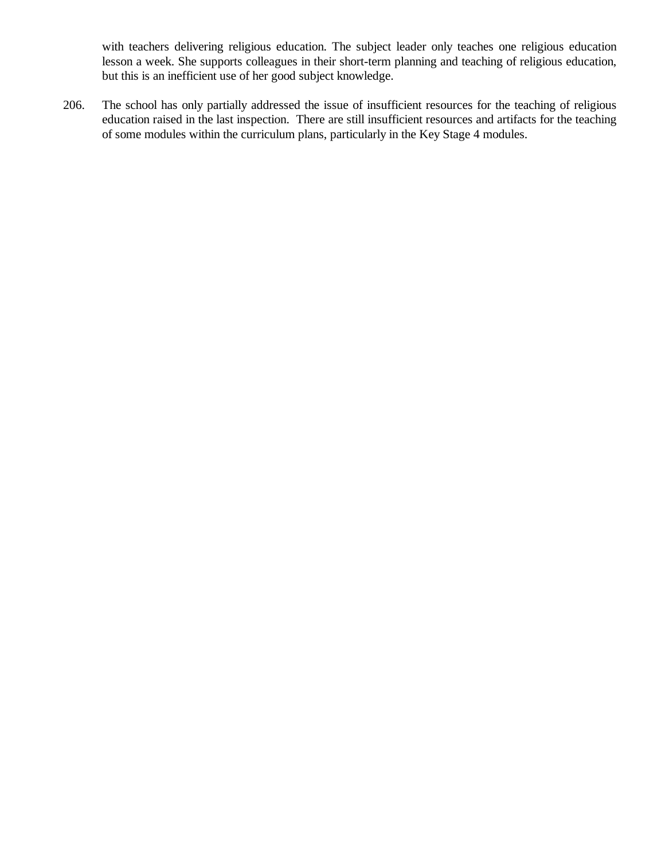with teachers delivering religious education. The subject leader only teaches one religious education lesson a week. She supports colleagues in their short-term planning and teaching of religious education, but this is an inefficient use of her good subject knowledge.

206. The school has only partially addressed the issue of insufficient resources for the teaching of religious education raised in the last inspection. There are still insufficient resources and artifacts for the teaching of some modules within the curriculum plans, particularly in the Key Stage 4 modules.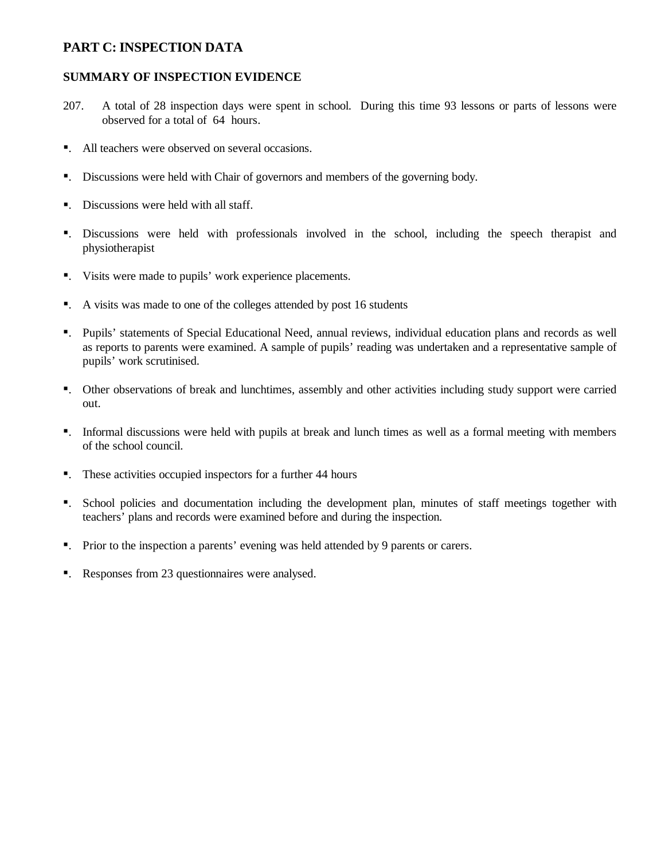# **PART C: INSPECTION DATA**

## **SUMMARY OF INSPECTION EVIDENCE**

- 207. A total of 28 inspection days were spent in school. During this time 93 lessons or parts of lessons were observed for a total of 64 hours.
- ■. All teachers were observed on several occasions.
- ß. Discussions were held with Chair of governors and members of the governing body.
- ■. Discussions were held with all staff.
- ß. Discussions were held with professionals involved in the school, including the speech therapist and physiotherapist
- ß. Visits were made to pupils' work experience placements.
- ß. A visits was made to one of the colleges attended by post 16 students
- ß. Pupils' statements of Special Educational Need, annual reviews, individual education plans and records as well as reports to parents were examined. A sample of pupils' reading was undertaken and a representative sample of pupils' work scrutinised.
- ß. Other observations of break and lunchtimes, assembly and other activities including study support were carried out.
- ß. Informal discussions were held with pupils at break and lunch times as well as a formal meeting with members of the school council.
- ■. These activities occupied inspectors for a further 44 hours
- ß. School policies and documentation including the development plan, minutes of staff meetings together with teachers' plans and records were examined before and during the inspection.
- ß. Prior to the inspection a parents' evening was held attended by 9 parents or carers.
- ■. Responses from 23 questionnaires were analysed.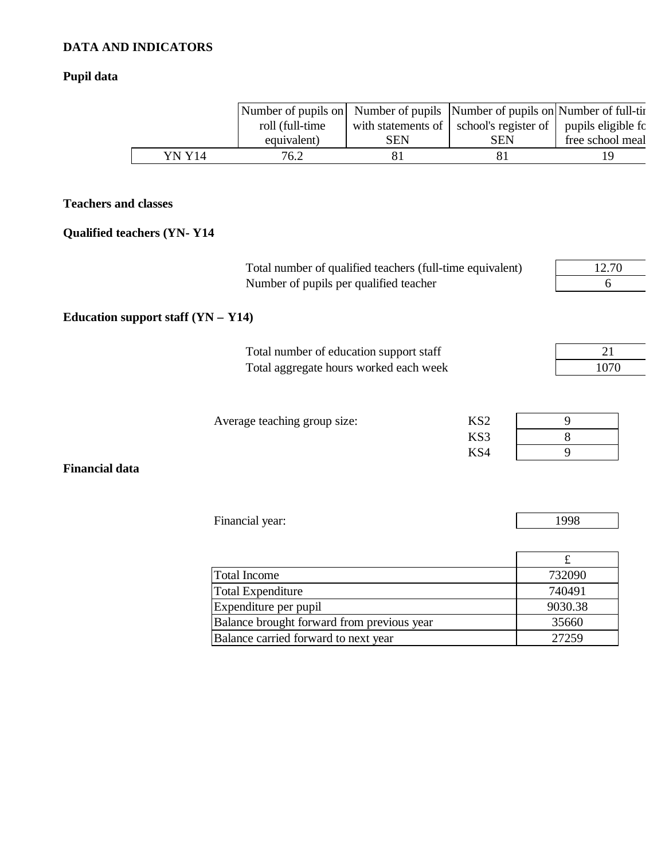# **DATA AND INDICATORS**

# **Pupil data**

|        | Number of pupils on Number of pupils Number of pupils on Number of full-tin |     |                                                                 |                  |
|--------|-----------------------------------------------------------------------------|-----|-----------------------------------------------------------------|------------------|
|        | roll (full-time                                                             |     | with statements of   school's register of   pupils eligible for |                  |
|        | equivalent)                                                                 | SEN | <b>SEN</b>                                                      | free school meal |
| YN Y14 | 76.2                                                                        |     |                                                                 | 1 Q              |

# **Teachers and classes**

# **Qualified teachers (YN- Y14**

| Total number of qualified teachers (full-time equivalent)<br>Number of pupils per qualified teacher |                                        |
|-----------------------------------------------------------------------------------------------------|----------------------------------------|
|                                                                                                     |                                        |
|                                                                                                     | 21<br>1070                             |
| KS <sub>2</sub><br>KS3<br>KS4                                                                       | 9<br>8<br>9                            |
|                                                                                                     | 1998<br>$\mathbf f$                    |
|                                                                                                     | Total aggregate hours worked each week |

| Total Income                               | 732090  |
|--------------------------------------------|---------|
| Total Expenditure                          | 740491  |
| Expenditure per pupil                      | 9030.38 |
| Balance brought forward from previous year | 35660   |
| Balance carried forward to next year       | 27259   |